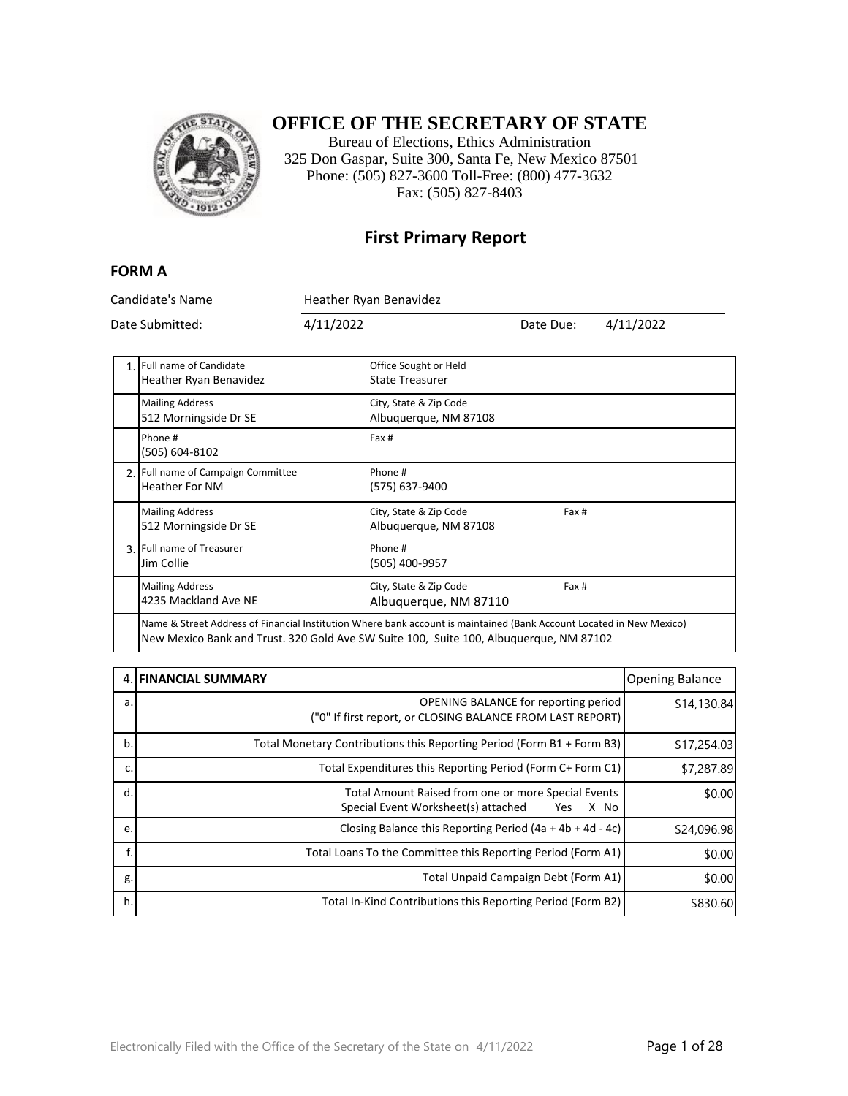

#### **OFFICE OF THE SECRETARY OF STATE**

Bureau of Elections, Ethics Administration 325 Don Gaspar, Suite 300, Santa Fe, New Mexico 87501 Phone: (505) 827-3600 Toll-Free: (800) 477-3632 Fax: (505) 827-8403

#### **First Primary Report**

#### **FORM A**

Candidate's Name Heather Ryan Benavidez Date Submitted: 4/11/2022 Date Due: 4/11/2022 1. Full name of Candidate Heather Ryan Benavidez Office Sought or Held State Treasurer Mailing Address 512 Morningside Dr SE City, State & Zip Code Albuquerque, NM 87108 Phone # (505) 604-8102 Fax # 2. Full name of Campaign Committee Heather For NM Phone # (575) 637-9400 Mailing Address 512 Morningside Dr SE City, State & Zip Code Albuquerque, NM 87108 Fax # 3. Full name of Treasurer Jim Collie Phone # (505) 400-9957 Mailing Address 4235 Mackland Ave NE City, State & Zip Code Albuquerque, NM 87110 Fax # Name & Street Address of Financial Institution Where bank account is maintained (Bank Account Located in New Mexico) New Mexico Bank and Trust. 320 Gold Ave SW Suite 100, Suite 100, Albuquerque, NM 87102

|    | <b>4. FINANCIAL SUMMARY</b>                                                                               | <b>Opening Balance</b> |
|----|-----------------------------------------------------------------------------------------------------------|------------------------|
| a. | OPENING BALANCE for reporting period<br>("0" If first report, or CLOSING BALANCE FROM LAST REPORT)        | \$14,130.84            |
| b. | Total Monetary Contributions this Reporting Period (Form B1 + Form B3)                                    | \$17,254.03            |
| c. | Total Expenditures this Reporting Period (Form C+ Form C1)                                                | \$7,287.89             |
| d. | Total Amount Raised from one or more Special Events<br>Special Event Worksheet(s) attached<br>X No<br>Yes | \$0.00                 |
| e. | Closing Balance this Reporting Period $(4a + 4b + 4d - 4c)$                                               | \$24,096.98            |
|    | Total Loans To the Committee this Reporting Period (Form A1)                                              | \$0.00                 |
| g. | Total Unpaid Campaign Debt (Form A1)                                                                      | \$0.00                 |
| h. | Total In-Kind Contributions this Reporting Period (Form B2)                                               | \$830.60               |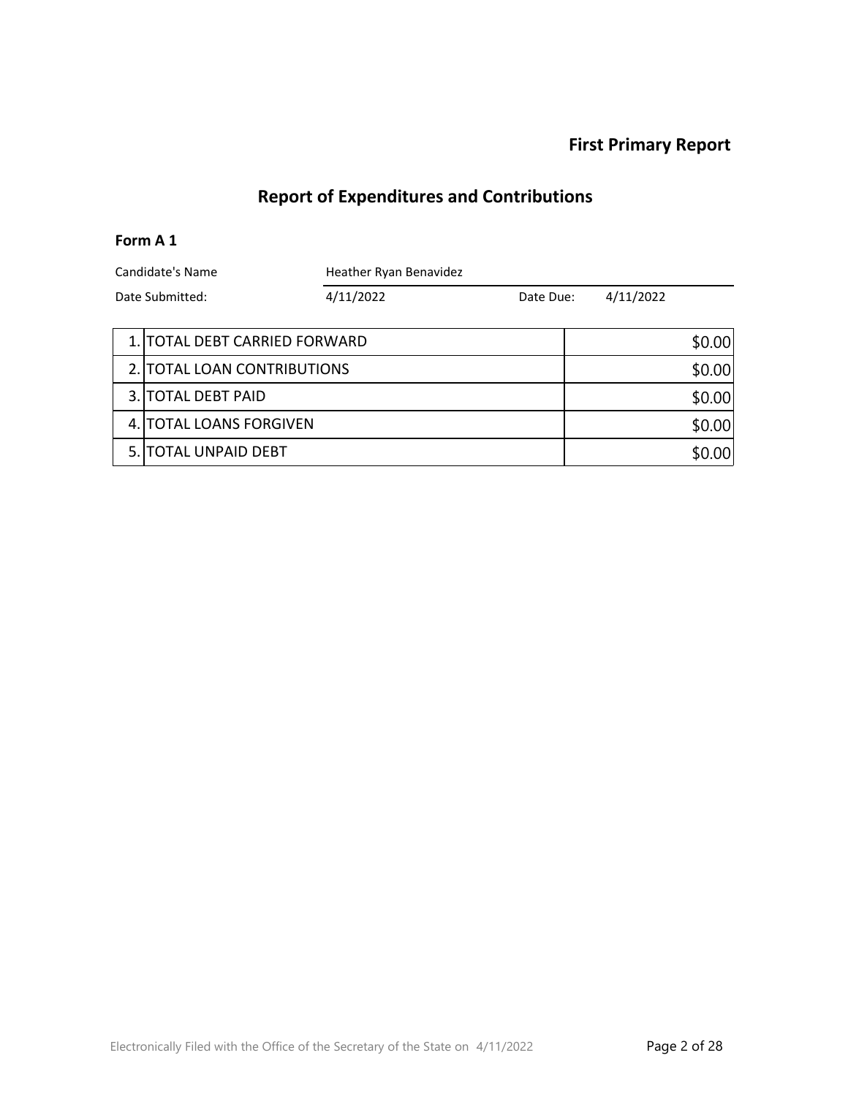# **Report of Expenditures and Contributions**

#### **Form A 1**

| Candidate's Name |                               | Heather Ryan Benavidez |           |  |           |        |
|------------------|-------------------------------|------------------------|-----------|--|-----------|--------|
| Date Submitted:  |                               | 4/11/2022              | Date Due: |  | 4/11/2022 |        |
|                  |                               |                        |           |  |           |        |
|                  | 1. TOTAL DEBT CARRIED FORWARD |                        |           |  |           | \$0.00 |
|                  | 2. TOTAL LOAN CONTRIBUTIONS   |                        |           |  |           | \$0.00 |
|                  | 3. TOTAL DEBT PAID            |                        |           |  |           | \$0.00 |
|                  | 4. TOTAL LOANS FORGIVEN       |                        |           |  | \$0.00    |        |
|                  | 5. TOTAL UNPAID DEBT          |                        |           |  |           | \$0.00 |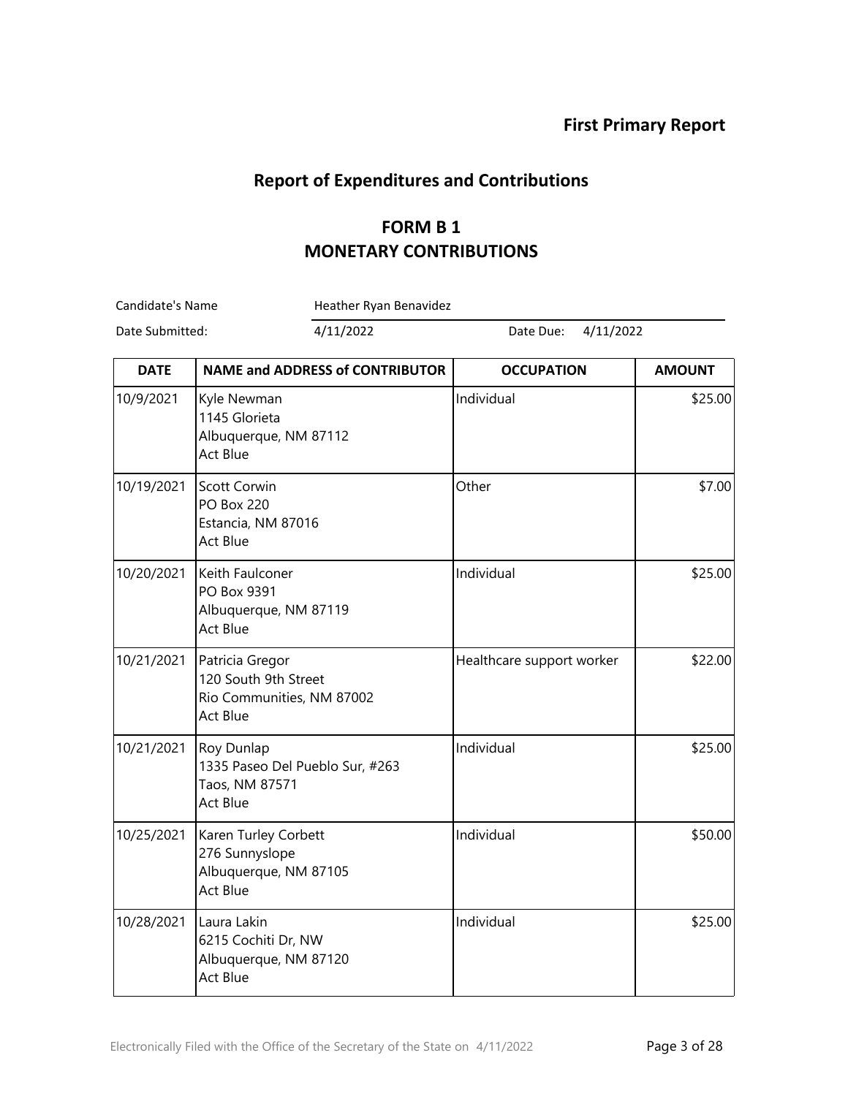# **Report of Expenditures and Contributions**

### **FORM B 1 MONETARY CONTRIBUTIONS**

| Candidate's Name |                                                                                         | Heather Ryan Benavidez                 |                           |               |
|------------------|-----------------------------------------------------------------------------------------|----------------------------------------|---------------------------|---------------|
| Date Submitted:  |                                                                                         | 4/11/2022                              | 4/11/2022<br>Date Due:    |               |
| <b>DATE</b>      |                                                                                         | <b>NAME and ADDRESS of CONTRIBUTOR</b> | <b>OCCUPATION</b>         | <b>AMOUNT</b> |
| 10/9/2021        | Kyle Newman<br>1145 Glorieta<br>Albuquerque, NM 87112<br><b>Act Blue</b>                |                                        | Individual                | \$25.00       |
| 10/19/2021       | <b>Scott Corwin</b><br><b>PO Box 220</b><br>Estancia, NM 87016<br><b>Act Blue</b>       |                                        | Other                     | \$7.00        |
| 10/20/2021       | Keith Faulconer<br>PO Box 9391<br>Albuquerque, NM 87119<br><b>Act Blue</b>              |                                        | Individual                | \$25.00       |
| 10/21/2021       | Patricia Gregor<br>120 South 9th Street<br>Rio Communities, NM 87002<br><b>Act Blue</b> |                                        | Healthcare support worker | \$22.00       |
| 10/21/2021       | Roy Dunlap<br>1335 Paseo Del Pueblo Sur, #263<br>Taos, NM 87571<br><b>Act Blue</b>      |                                        | Individual                | \$25.00       |
| 10/25/2021       | Karen Turley Corbett<br>276 Sunnyslope<br>Albuquerque, NM 87105<br><b>Act Blue</b>      |                                        | Individual                | \$50.00       |
| 10/28/2021       | Laura Lakin<br>6215 Cochiti Dr, NW<br>Albuquerque, NM 87120<br><b>Act Blue</b>          |                                        | Individual                | \$25.00       |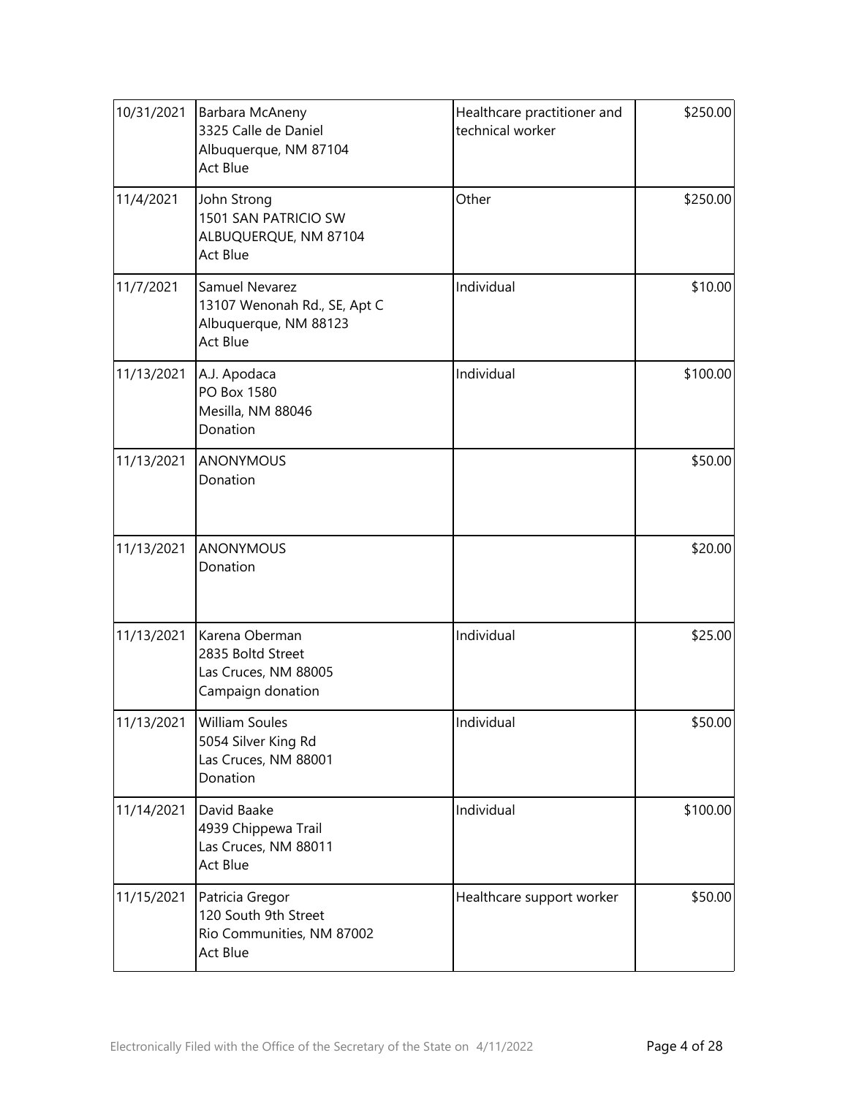| 10/31/2021 | Barbara McAneny<br>3325 Calle de Daniel<br>Albuquerque, NM 87104<br>Act Blue        | Healthcare practitioner and<br>technical worker | \$250.00 |
|------------|-------------------------------------------------------------------------------------|-------------------------------------------------|----------|
| 11/4/2021  | John Strong<br>1501 SAN PATRICIO SW<br>ALBUQUERQUE, NM 87104<br>Act Blue            | Other                                           | \$250.00 |
| 11/7/2021  | Samuel Nevarez<br>13107 Wenonah Rd., SE, Apt C<br>Albuquerque, NM 88123<br>Act Blue | Individual                                      | \$10.00  |
| 11/13/2021 | A.J. Apodaca<br>PO Box 1580<br>Mesilla, NM 88046<br>Donation                        | Individual                                      | \$100.00 |
| 11/13/2021 | ANONYMOUS<br>Donation                                                               |                                                 | \$50.00  |
| 11/13/2021 | <b>ANONYMOUS</b><br>Donation                                                        |                                                 | \$20.00  |
| 11/13/2021 | Karena Oberman<br>2835 Boltd Street<br>Las Cruces, NM 88005<br>Campaign donation    | Individual                                      | \$25.00  |
| 11/13/2021 | <b>William Soules</b><br>5054 Silver King Rd<br>Las Cruces, NM 88001<br>Donation    | Individual                                      | \$50.00  |
| 11/14/2021 | David Baake<br>4939 Chippewa Trail<br>Las Cruces, NM 88011<br>Act Blue              | Individual                                      | \$100.00 |
| 11/15/2021 | Patricia Gregor<br>120 South 9th Street<br>Rio Communities, NM 87002<br>Act Blue    | Healthcare support worker                       | \$50.00  |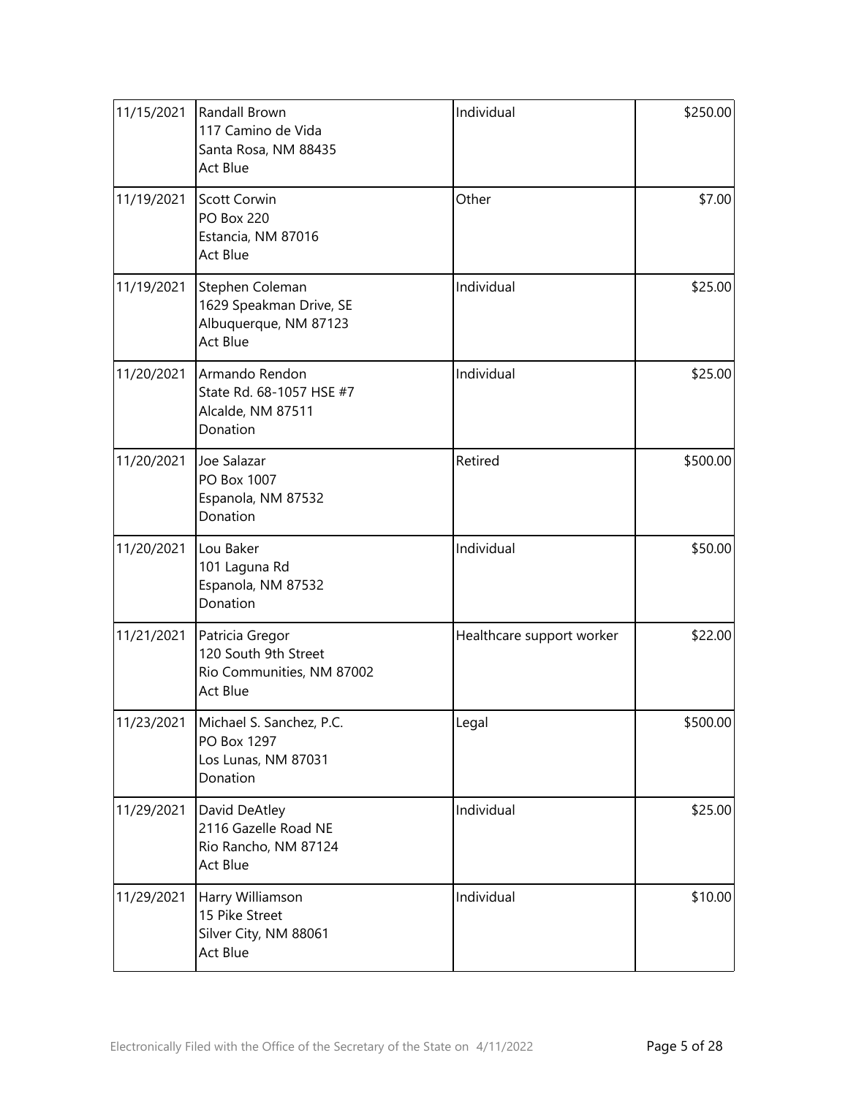| 11/15/2021 | Randall Brown<br>117 Camino de Vida<br>Santa Rosa, NM 88435<br>Act Blue          | Individual                | \$250.00 |
|------------|----------------------------------------------------------------------------------|---------------------------|----------|
| 11/19/2021 | Scott Corwin<br><b>PO Box 220</b><br>Estancia, NM 87016<br>Act Blue              | Other                     | \$7.00   |
| 11/19/2021 | Stephen Coleman<br>1629 Speakman Drive, SE<br>Albuquerque, NM 87123<br>Act Blue  | Individual                | \$25.00  |
| 11/20/2021 | Armando Rendon<br>State Rd. 68-1057 HSE #7<br>Alcalde, NM 87511<br>Donation      | Individual                | \$25.00  |
| 11/20/2021 | Joe Salazar<br>PO Box 1007<br>Espanola, NM 87532<br>Donation                     | Retired                   | \$500.00 |
| 11/20/2021 | Lou Baker<br>101 Laguna Rd<br>Espanola, NM 87532<br>Donation                     | Individual                | \$50.00  |
| 11/21/2021 | Patricia Gregor<br>120 South 9th Street<br>Rio Communities, NM 87002<br>Act Blue | Healthcare support worker | \$22.00  |
| 11/23/2021 | Michael S. Sanchez, P.C.<br>PO Box 1297<br>Los Lunas, NM 87031<br>Donation       | Legal                     | \$500.00 |
| 11/29/2021 | David DeAtley<br>2116 Gazelle Road NE<br>Rio Rancho, NM 87124<br><b>Act Blue</b> | Individual                | \$25.00  |
| 11/29/2021 | Harry Williamson<br>15 Pike Street<br>Silver City, NM 88061<br>Act Blue          | Individual                | \$10.00  |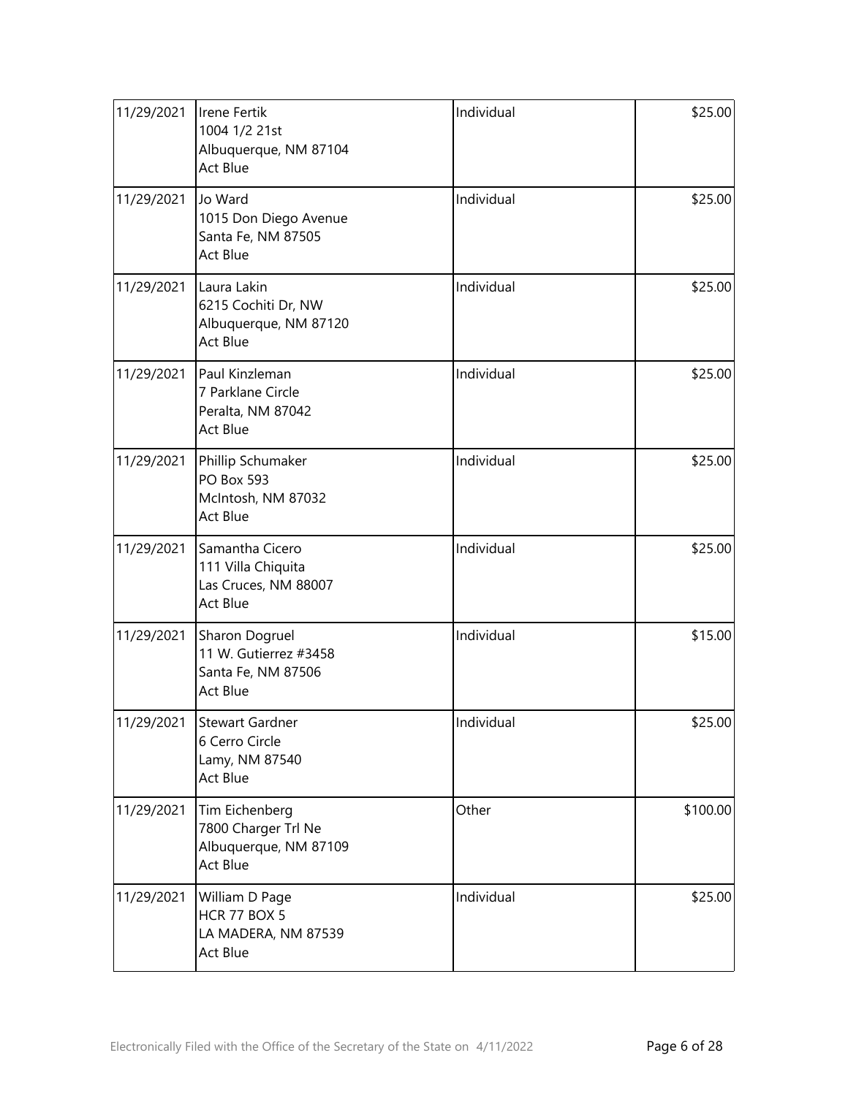| 11/29/2021 | Irene Fertik<br>1004 1/2 21st<br>Albuquerque, NM 87104<br>Act Blue         | Individual | \$25.00  |
|------------|----------------------------------------------------------------------------|------------|----------|
| 11/29/2021 | Jo Ward<br>1015 Don Diego Avenue<br>Santa Fe, NM 87505<br>Act Blue         | Individual | \$25.00  |
| 11/29/2021 | Laura Lakin<br>6215 Cochiti Dr, NW<br>Albuquerque, NM 87120<br>Act Blue    | Individual | \$25.00  |
| 11/29/2021 | Paul Kinzleman<br>7 Parklane Circle<br>Peralta, NM 87042<br>Act Blue       | Individual | \$25.00  |
| 11/29/2021 | Phillip Schumaker<br>PO Box 593<br>McIntosh, NM 87032<br><b>Act Blue</b>   | Individual | \$25.00  |
| 11/29/2021 | Samantha Cicero<br>111 Villa Chiquita<br>Las Cruces, NM 88007<br>Act Blue  | Individual | \$25.00  |
| 11/29/2021 | Sharon Dogruel<br>11 W. Gutierrez #3458<br>Santa Fe, NM 87506<br>Act Blue  | Individual | \$15.00  |
| 11/29/2021 | Stewart Gardner<br>6 Cerro Circle<br>Lamy, NM 87540<br>Act Blue            | Individual | \$25.00  |
| 11/29/2021 | Tim Eichenberg<br>7800 Charger Trl Ne<br>Albuquerque, NM 87109<br>Act Blue | Other      | \$100.00 |
| 11/29/2021 | William D Page<br><b>HCR 77 BOX 5</b><br>LA MADERA, NM 87539<br>Act Blue   | Individual | \$25.00  |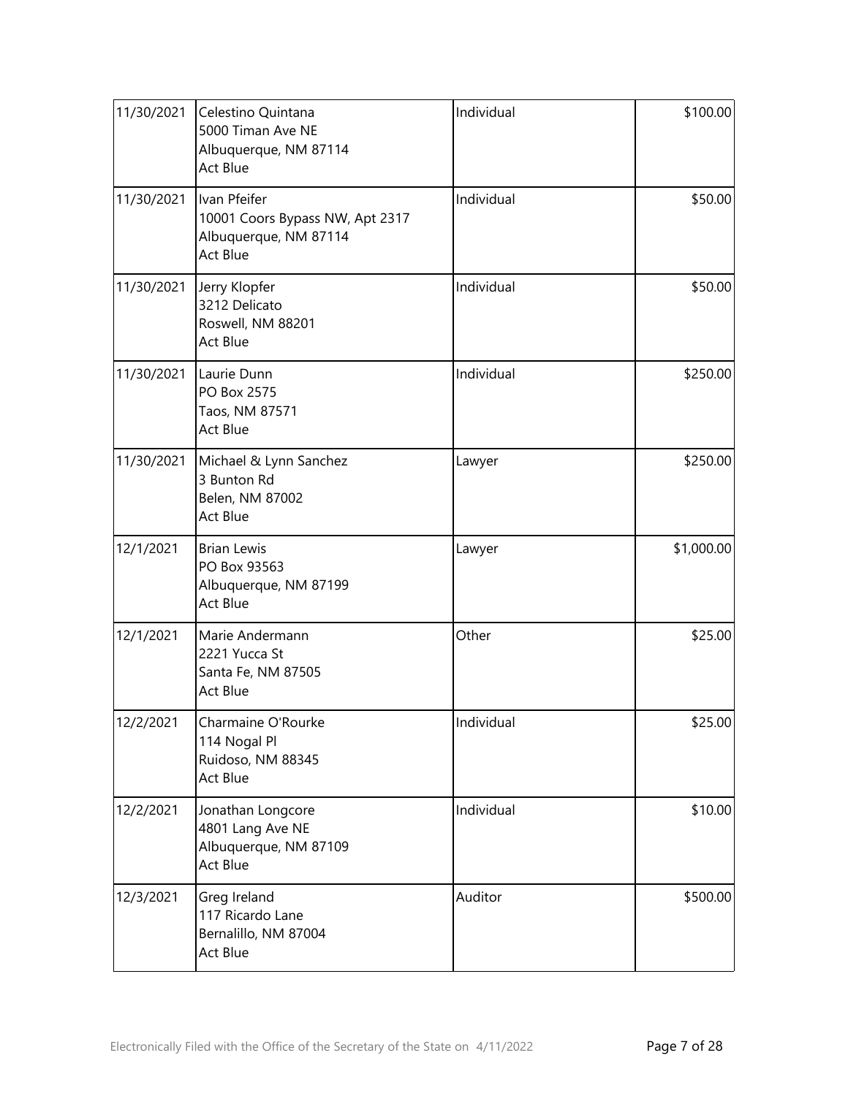| 11/30/2021 | Celestino Quintana<br>5000 Timan Ave NE<br>Albuquerque, NM 87114<br><b>Act Blue</b>  | Individual | \$100.00   |
|------------|--------------------------------------------------------------------------------------|------------|------------|
| 11/30/2021 | Ivan Pfeifer<br>10001 Coors Bypass NW, Apt 2317<br>Albuquerque, NM 87114<br>Act Blue | Individual | \$50.00    |
| 11/30/2021 | Jerry Klopfer<br>3212 Delicato<br>Roswell, NM 88201<br>Act Blue                      | Individual | \$50.00    |
| 11/30/2021 | Laurie Dunn<br>PO Box 2575<br>Taos, NM 87571<br><b>Act Blue</b>                      | Individual | \$250.00   |
| 11/30/2021 | Michael & Lynn Sanchez<br>3 Bunton Rd<br>Belen, NM 87002<br><b>Act Blue</b>          | Lawyer     | \$250.00   |
| 12/1/2021  | <b>Brian Lewis</b><br>PO Box 93563<br>Albuquerque, NM 87199<br>Act Blue              | Lawyer     | \$1,000.00 |
| 12/1/2021  | Marie Andermann<br>2221 Yucca St<br>Santa Fe, NM 87505<br><b>Act Blue</b>            | Other      | \$25.00    |
| 12/2/2021  | Charmaine O'Rourke<br>114 Nogal Pl<br>Ruidoso, NM 88345<br>Act Blue                  | Individual | \$25.00    |
| 12/2/2021  | Jonathan Longcore<br>4801 Lang Ave NE<br>Albuquerque, NM 87109<br>Act Blue           | Individual | \$10.00    |
| 12/3/2021  | Greg Ireland<br>117 Ricardo Lane<br>Bernalillo, NM 87004<br>Act Blue                 | Auditor    | \$500.00   |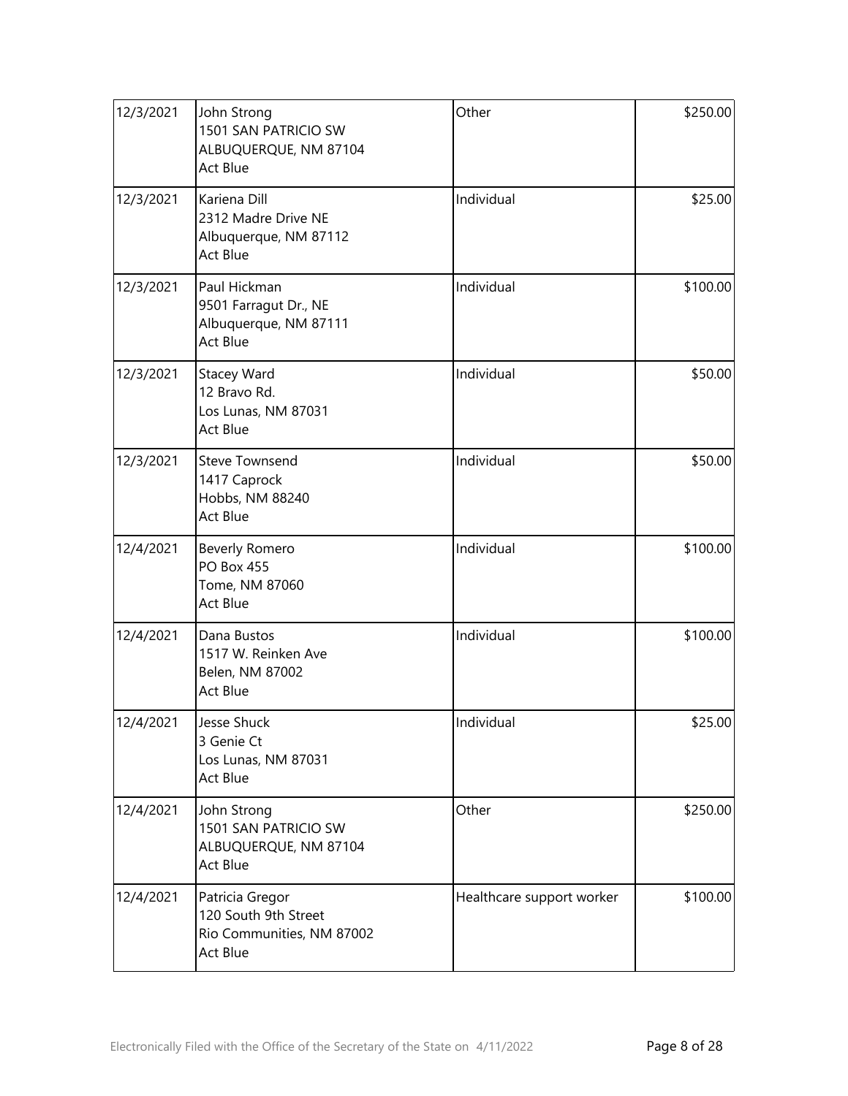| 12/3/2021 | John Strong<br>1501 SAN PATRICIO SW<br>ALBUQUERQUE, NM 87104<br><b>Act Blue</b>         | Other                     | \$250.00 |
|-----------|-----------------------------------------------------------------------------------------|---------------------------|----------|
| 12/3/2021 | Kariena Dill<br>2312 Madre Drive NE<br>Albuquerque, NM 87112<br><b>Act Blue</b>         | Individual                | \$25.00  |
| 12/3/2021 | Paul Hickman<br>9501 Farragut Dr., NE<br>Albuquerque, NM 87111<br>Act Blue              | Individual                | \$100.00 |
| 12/3/2021 | <b>Stacey Ward</b><br>12 Bravo Rd.<br>Los Lunas, NM 87031<br><b>Act Blue</b>            | Individual                | \$50.00  |
| 12/3/2021 | <b>Steve Townsend</b><br>1417 Caprock<br>Hobbs, NM 88240<br><b>Act Blue</b>             | Individual                | \$50.00  |
| 12/4/2021 | Beverly Romero<br><b>PO Box 455</b><br>Tome, NM 87060<br>Act Blue                       | Individual                | \$100.00 |
| 12/4/2021 | Dana Bustos<br>1517 W. Reinken Ave<br>Belen, NM 87002<br><b>Act Blue</b>                | Individual                | \$100.00 |
| 12/4/2021 | Jesse Shuck<br>3 Genie Ct<br>Los Lunas, NM 87031<br><b>Act Blue</b>                     | Individual                | \$25.00  |
| 12/4/2021 | John Strong<br>1501 SAN PATRICIO SW<br>ALBUQUERQUE, NM 87104<br><b>Act Blue</b>         | Other                     | \$250.00 |
| 12/4/2021 | Patricia Gregor<br>120 South 9th Street<br>Rio Communities, NM 87002<br><b>Act Blue</b> | Healthcare support worker | \$100.00 |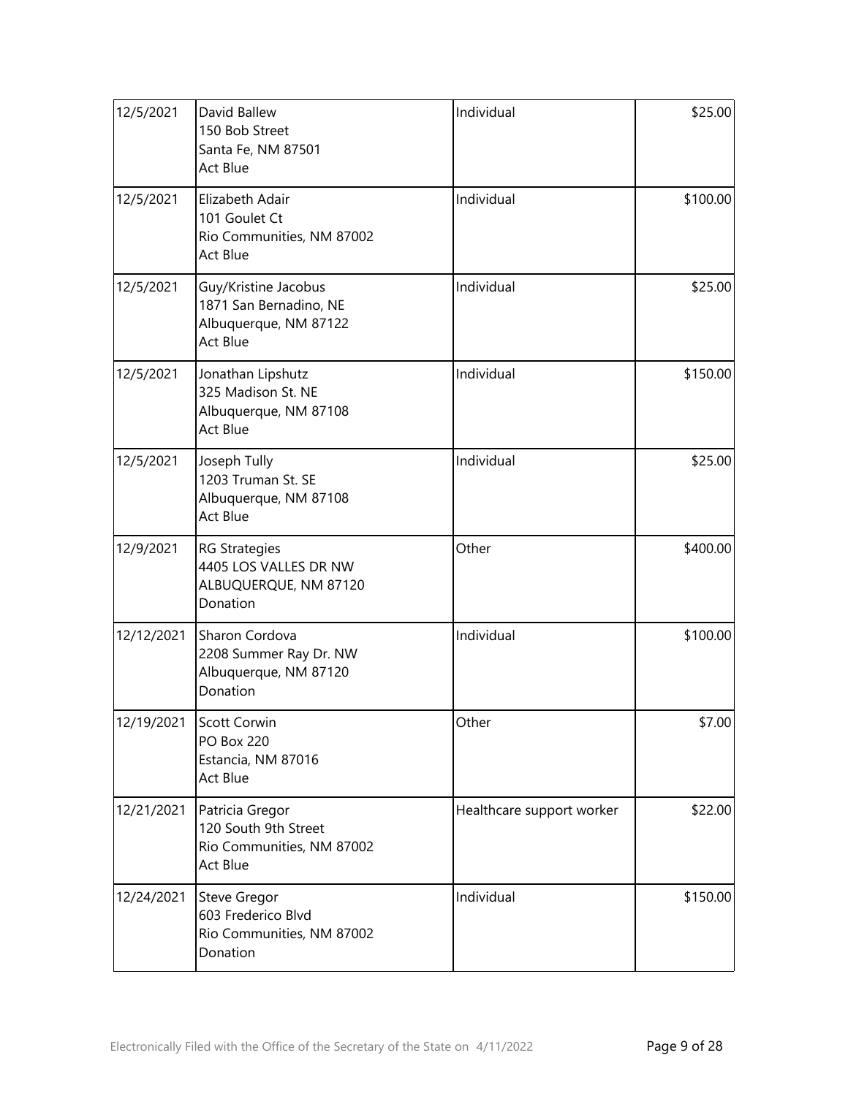| 12/5/2021  | David Ballew<br>150 Bob Street<br>Santa Fe, NM 87501<br><b>Act Blue</b>                    | Individual                | \$25.00  |
|------------|--------------------------------------------------------------------------------------------|---------------------------|----------|
| 12/5/2021  | Elizabeth Adair<br>101 Goulet Ct<br>Rio Communities, NM 87002<br><b>Act Blue</b>           | Individual                | \$100.00 |
| 12/5/2021  | Guy/Kristine Jacobus<br>1871 San Bernadino, NE<br>Albuquerque, NM 87122<br><b>Act Blue</b> | Individual                | \$25.00  |
| 12/5/2021  | Jonathan Lipshutz<br>325 Madison St. NE<br>Albuquerque, NM 87108<br><b>Act Blue</b>        | Individual                | \$150.00 |
| 12/5/2021  | Joseph Tully<br>1203 Truman St. SE<br>Albuquerque, NM 87108<br><b>Act Blue</b>             | Individual                | \$25.00  |
| 12/9/2021  | <b>RG Strategies</b><br>4405 LOS VALLES DR NW<br>ALBUQUERQUE, NM 87120<br>Donation         | Other                     | \$400.00 |
| 12/12/2021 | Sharon Cordova<br>2208 Summer Ray Dr. NW<br>Albuquerque, NM 87120<br>Donation              | Individual                | \$100.00 |
| 12/19/2021 | Scott Corwin<br><b>PO Box 220</b><br>Estancia, NM 87016<br><b>Act Blue</b>                 | Other                     | \$7.00   |
| 12/21/2021 | Patricia Gregor<br>120 South 9th Street<br>Rio Communities, NM 87002<br><b>Act Blue</b>    | Healthcare support worker | \$22.00  |
| 12/24/2021 | <b>Steve Gregor</b><br>603 Frederico Blvd<br>Rio Communities, NM 87002<br>Donation         | Individual                | \$150.00 |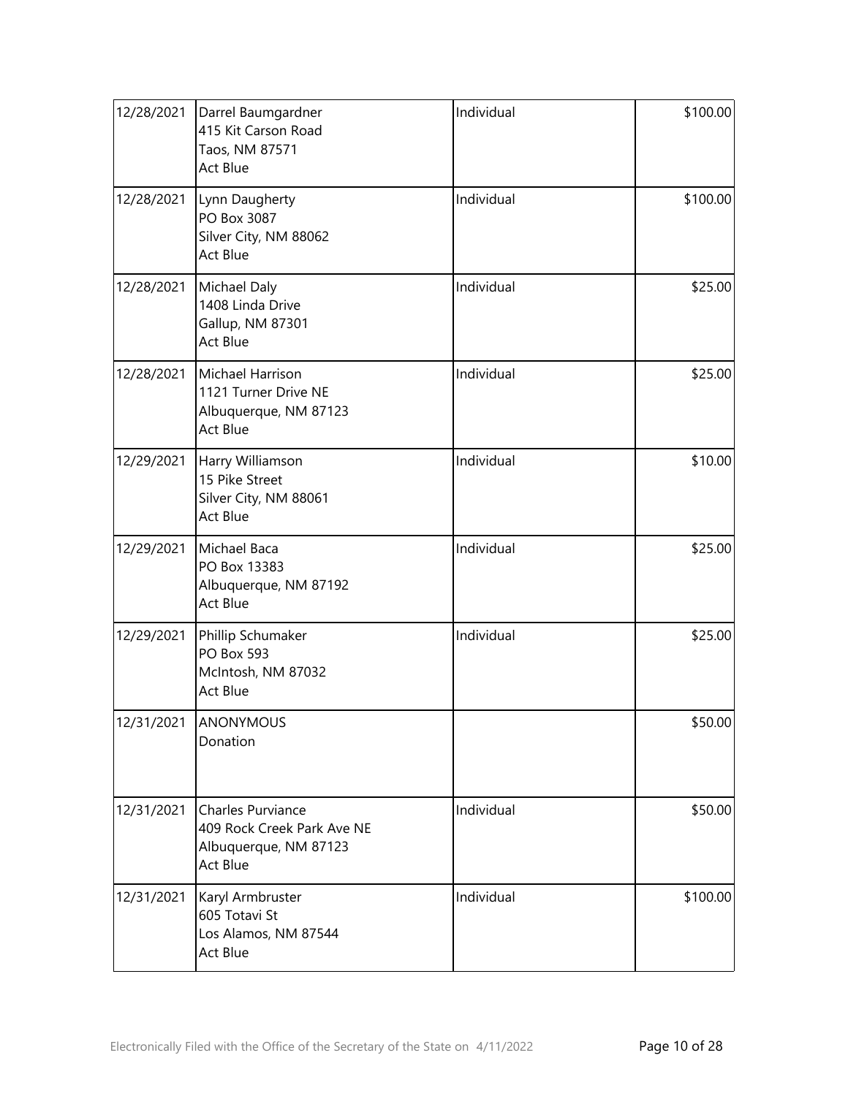| 12/28/2021 | Darrel Baumgardner<br>415 Kit Carson Road<br>Taos, NM 87571<br>Act Blue              | Individual | \$100.00 |
|------------|--------------------------------------------------------------------------------------|------------|----------|
| 12/28/2021 | Lynn Daugherty<br>PO Box 3087<br>Silver City, NM 88062<br>Act Blue                   | Individual | \$100.00 |
| 12/28/2021 | Michael Daly<br>1408 Linda Drive<br>Gallup, NM 87301<br>Act Blue                     | Individual | \$25.00  |
| 12/28/2021 | Michael Harrison<br>1121 Turner Drive NE<br>Albuquerque, NM 87123<br>Act Blue        | Individual | \$25.00  |
| 12/29/2021 | Harry Williamson<br>15 Pike Street<br>Silver City, NM 88061<br>Act Blue              | Individual | \$10.00  |
| 12/29/2021 | Michael Baca<br>PO Box 13383<br>Albuquerque, NM 87192<br>Act Blue                    | Individual | \$25.00  |
| 12/29/2021 | Phillip Schumaker<br><b>PO Box 593</b><br>McIntosh, NM 87032<br>Act Blue             | Individual | \$25.00  |
|            | 12/31/2021 ANONYMOUS<br>Donation                                                     |            | \$50.00  |
| 12/31/2021 | Charles Purviance<br>409 Rock Creek Park Ave NE<br>Albuquerque, NM 87123<br>Act Blue | Individual | \$50.00  |
| 12/31/2021 | Karyl Armbruster<br>605 Totavi St<br>Los Alamos, NM 87544<br>Act Blue                | Individual | \$100.00 |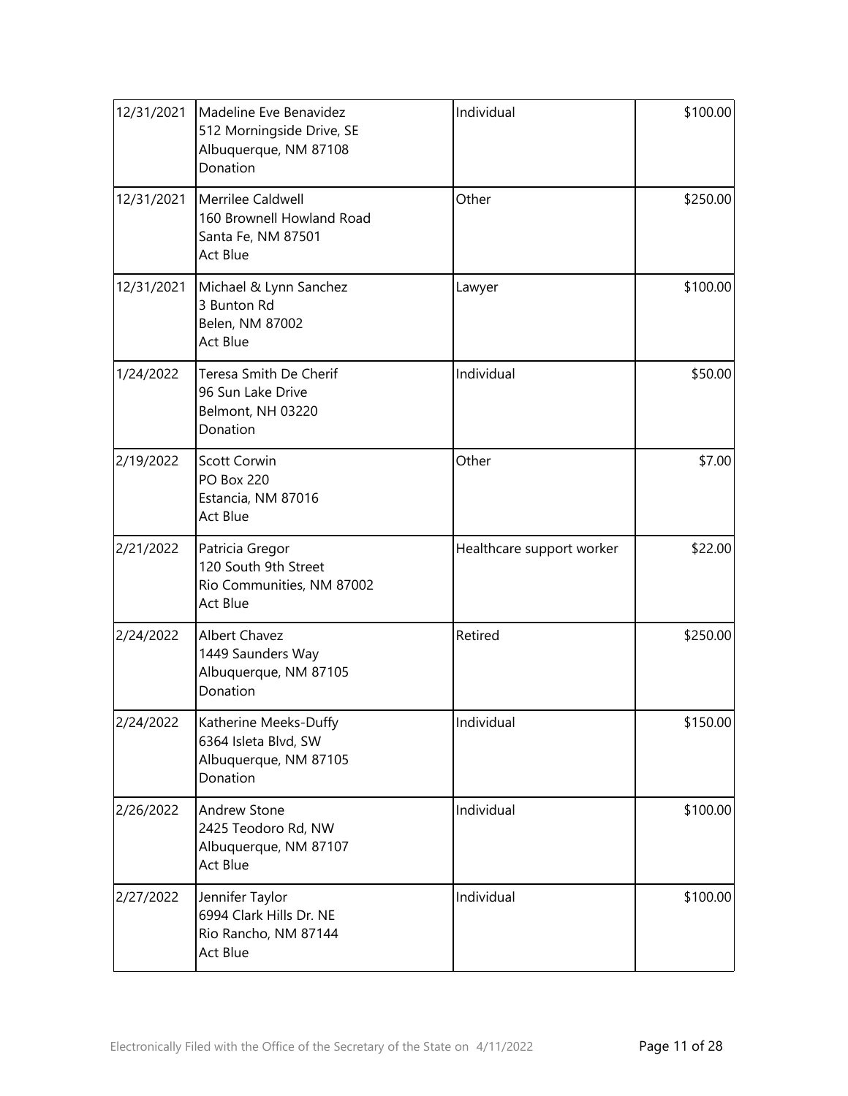| 12/31/2021 | Madeline Eve Benavidez<br>512 Morningside Drive, SE<br>Albuquerque, NM 87108<br>Donation | Individual                | \$100.00 |
|------------|------------------------------------------------------------------------------------------|---------------------------|----------|
| 12/31/2021 | Merrilee Caldwell<br>160 Brownell Howland Road<br>Santa Fe, NM 87501<br>Act Blue         | Other                     | \$250.00 |
| 12/31/2021 | Michael & Lynn Sanchez<br>3 Bunton Rd<br>Belen, NM 87002<br>Act Blue                     | Lawyer                    | \$100.00 |
| 1/24/2022  | Teresa Smith De Cherif<br>96 Sun Lake Drive<br>Belmont, NH 03220<br>Donation             | Individual                | \$50.00  |
| 2/19/2022  | <b>Scott Corwin</b><br><b>PO Box 220</b><br>Estancia, NM 87016<br><b>Act Blue</b>        | Other                     | \$7.00   |
| 2/21/2022  | Patricia Gregor<br>120 South 9th Street<br>Rio Communities, NM 87002<br>Act Blue         | Healthcare support worker | \$22.00  |
| 2/24/2022  | Albert Chavez<br>1449 Saunders Way<br>Albuquerque, NM 87105<br>Donation                  | Retired                   | \$250.00 |
| 2/24/2022  | Katherine Meeks-Duffy<br>6364 Isleta Blvd, SW<br>Albuquerque, NM 87105<br>Donation       | Individual                | \$150.00 |
| 2/26/2022  | <b>Andrew Stone</b><br>2425 Teodoro Rd, NW<br>Albuquerque, NM 87107<br>Act Blue          | Individual                | \$100.00 |
| 2/27/2022  | Jennifer Taylor<br>6994 Clark Hills Dr. NE<br>Rio Rancho, NM 87144<br>Act Blue           | Individual                | \$100.00 |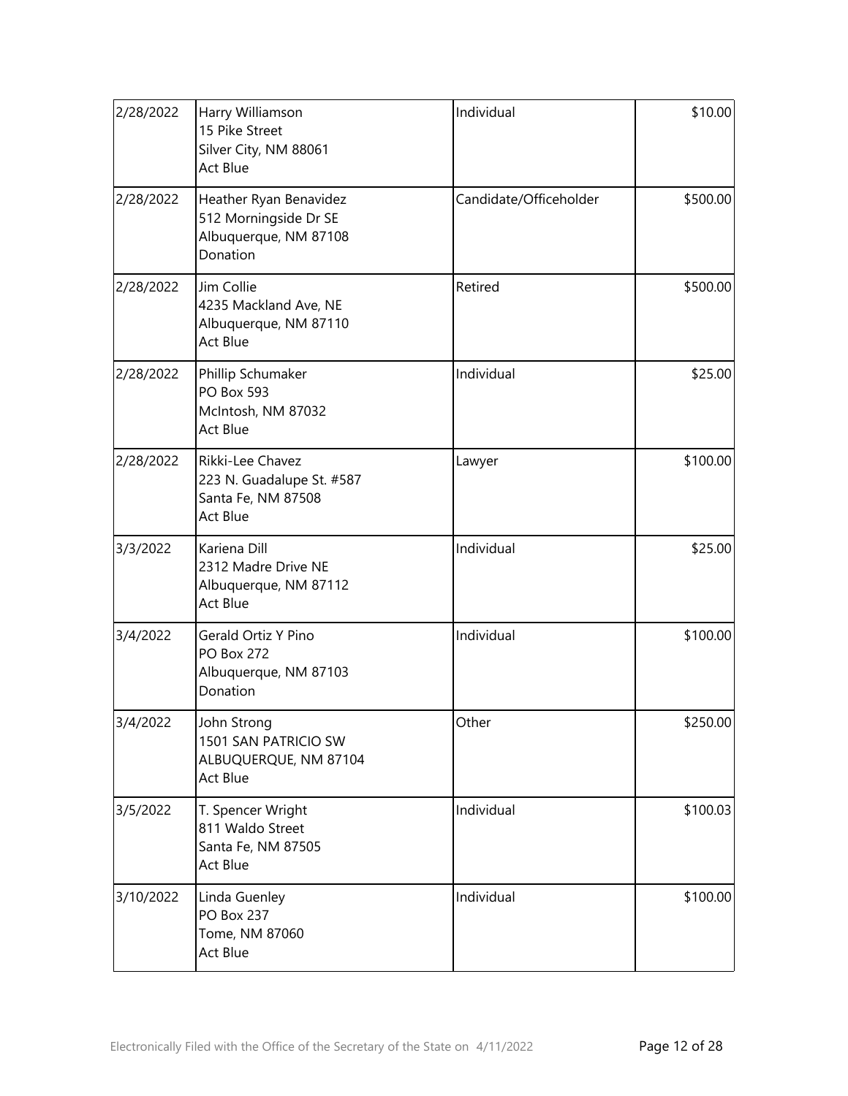| 2/28/2022 | Harry Williamson<br>15 Pike Street<br>Silver City, NM 88061<br>Act Blue              | Individual             | \$10.00  |
|-----------|--------------------------------------------------------------------------------------|------------------------|----------|
| 2/28/2022 | Heather Ryan Benavidez<br>512 Morningside Dr SE<br>Albuquerque, NM 87108<br>Donation | Candidate/Officeholder | \$500.00 |
| 2/28/2022 | Jim Collie<br>4235 Mackland Ave, NE<br>Albuquerque, NM 87110<br>Act Blue             | Retired                | \$500.00 |
| 2/28/2022 | Phillip Schumaker<br><b>PO Box 593</b><br>McIntosh, NM 87032<br>Act Blue             | Individual             | \$25.00  |
| 2/28/2022 | Rikki-Lee Chavez<br>223 N. Guadalupe St. #587<br>Santa Fe, NM 87508<br>Act Blue      | Lawyer                 | \$100.00 |
| 3/3/2022  | Kariena Dill<br>2312 Madre Drive NE<br>Albuquerque, NM 87112<br>Act Blue             | Individual             | \$25.00  |
| 3/4/2022  | Gerald Ortiz Y Pino<br><b>PO Box 272</b><br>Albuquerque, NM 87103<br>Donation        | Individual             | \$100.00 |
| 3/4/2022  | John Strong<br>1501 SAN PATRICIO SW<br>ALBUQUERQUE, NM 87104<br>Act Blue             | Other                  | \$250.00 |
| 3/5/2022  | T. Spencer Wright<br>811 Waldo Street<br>Santa Fe, NM 87505<br><b>Act Blue</b>       | Individual             | \$100.03 |
| 3/10/2022 | Linda Guenley<br><b>PO Box 237</b><br>Tome, NM 87060<br>Act Blue                     | Individual             | \$100.00 |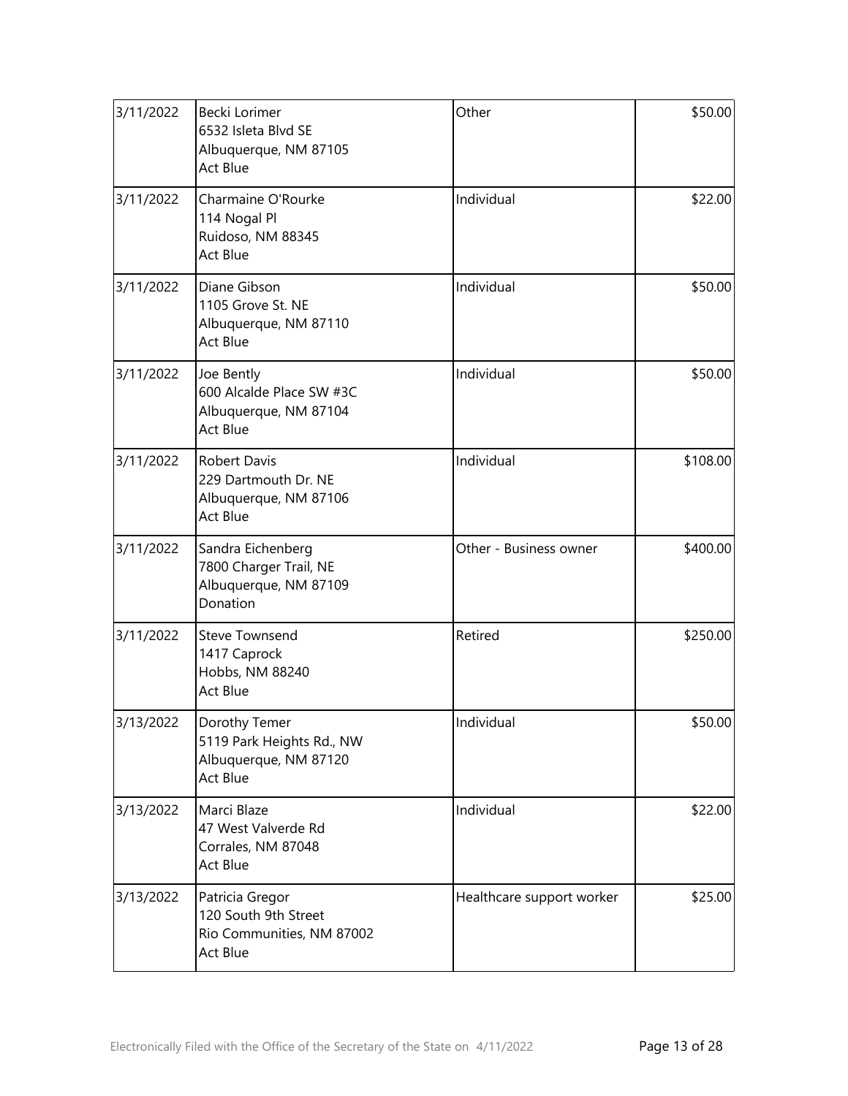| 3/11/2022 | Becki Lorimer<br>6532 Isleta Blvd SE<br>Albuquerque, NM 87105<br>Act Blue               | Other                     | \$50.00 |  |
|-----------|-----------------------------------------------------------------------------------------|---------------------------|---------|--|
| 3/11/2022 | Charmaine O'Rourke<br>114 Nogal Pl<br>Ruidoso, NM 88345<br>Act Blue                     | Individual                | \$22.00 |  |
| 3/11/2022 | Diane Gibson<br>1105 Grove St. NE<br>Albuquerque, NM 87110<br><b>Act Blue</b>           | Individual<br>\$50.00     |         |  |
| 3/11/2022 | Joe Bently<br>600 Alcalde Place SW #3C<br>Albuquerque, NM 87104<br>Act Blue             | Individual                |         |  |
| 3/11/2022 | <b>Robert Davis</b><br>229 Dartmouth Dr. NE<br>Albuquerque, NM 87106<br>Act Blue        | Individual                |         |  |
| 3/11/2022 | Sandra Eichenberg<br>7800 Charger Trail, NE<br>Albuquerque, NM 87109<br>Donation        | Other - Business owner    |         |  |
| 3/11/2022 | <b>Steve Townsend</b><br>1417 Caprock<br>Hobbs, NM 88240<br><b>Act Blue</b>             | Retired<br>\$250.00       |         |  |
| 3/13/2022 | Dorothy Temer<br>5119 Park Heights Rd., NW<br>Albuquerque, NM 87120<br>Act Blue         | Individual<br>\$50.00     |         |  |
| 3/13/2022 | Marci Blaze<br>47 West Valverde Rd<br>Corrales, NM 87048<br><b>Act Blue</b>             | Individual                | \$22.00 |  |
| 3/13/2022 | Patricia Gregor<br>120 South 9th Street<br>Rio Communities, NM 87002<br><b>Act Blue</b> | Healthcare support worker | \$25.00 |  |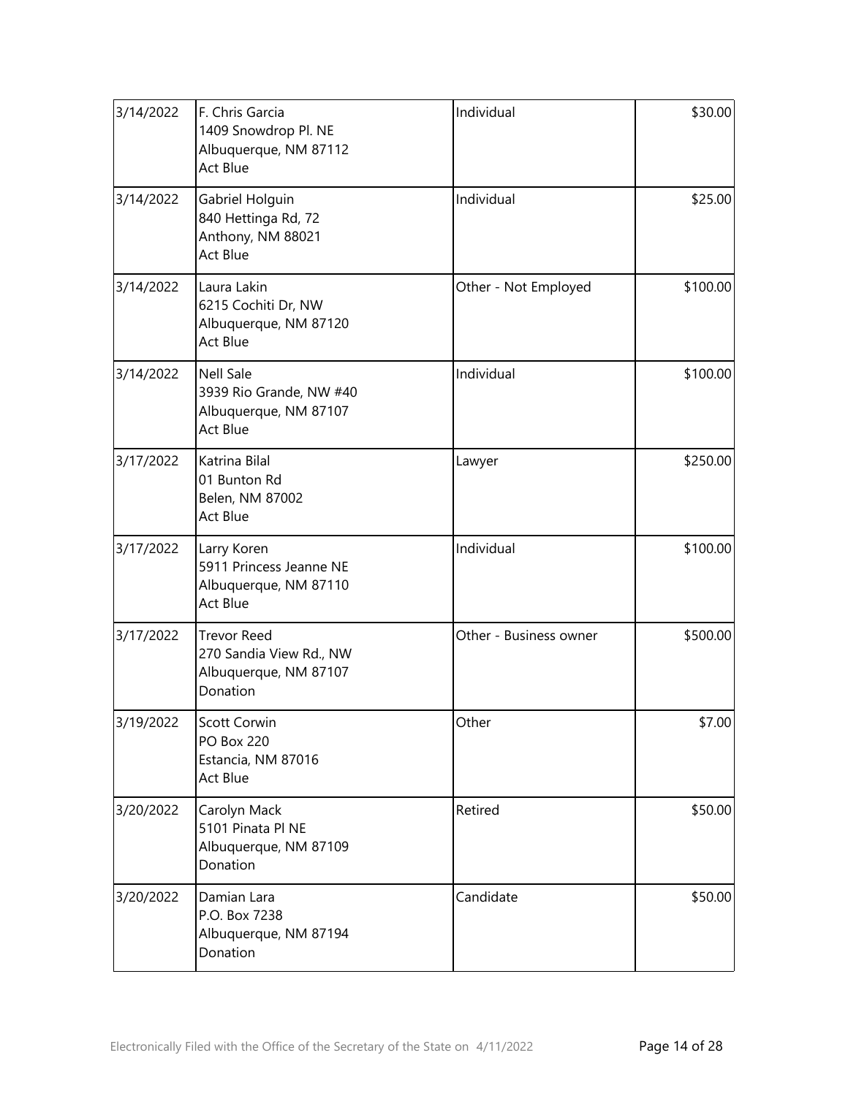| 3/14/2022 | F. Chris Garcia<br>1409 Snowdrop Pl. NE<br>Albuquerque, NM 87112<br>Act Blue       | Individual                         | \$30.00  |  |
|-----------|------------------------------------------------------------------------------------|------------------------------------|----------|--|
| 3/14/2022 | Gabriel Holguin<br>840 Hettinga Rd, 72<br>Anthony, NM 88021<br>Act Blue            | Individual                         | \$25.00  |  |
| 3/14/2022 | Laura Lakin<br>6215 Cochiti Dr, NW<br>Albuquerque, NM 87120<br>Act Blue            | \$100.00<br>Other - Not Employed   |          |  |
| 3/14/2022 | <b>Nell Sale</b><br>3939 Rio Grande, NW #40<br>Albuquerque, NM 87107<br>Act Blue   | Individual                         |          |  |
| 3/17/2022 | Katrina Bilal<br>01 Bunton Rd<br>Belen, NM 87002<br>Act Blue                       | Lawyer                             | \$250.00 |  |
| 3/17/2022 | Larry Koren<br>5911 Princess Jeanne NE<br>Albuquerque, NM 87110<br>Act Blue        | Individual                         | \$100.00 |  |
| 3/17/2022 | <b>Trevor Reed</b><br>270 Sandia View Rd., NW<br>Albuquerque, NM 87107<br>Donation | Other - Business owner<br>\$500.00 |          |  |
| 3/19/2022 | Scott Corwin<br><b>PO Box 220</b><br>Estancia, NM 87016<br>Act Blue                | Other                              |          |  |
| 3/20/2022 | Carolyn Mack<br>5101 Pinata Pl NE<br>Albuquerque, NM 87109<br>Donation             | Retired                            | \$50.00  |  |
| 3/20/2022 | Damian Lara<br>P.O. Box 7238<br>Albuquerque, NM 87194<br>Donation                  | Candidate                          | \$50.00  |  |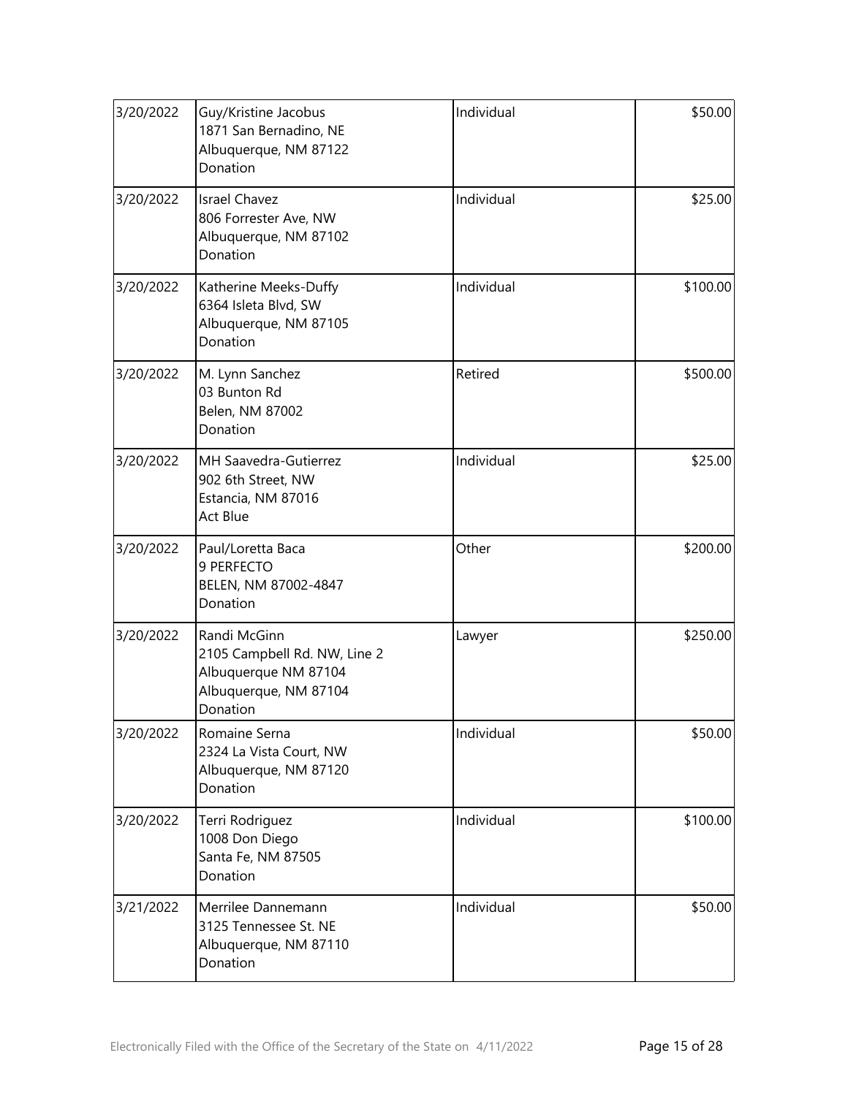| 3/20/2022 | Guy/Kristine Jacobus<br>1871 San Bernadino, NE<br>Albuquerque, NM 87122<br>Donation                       | Individual | \$50.00  |
|-----------|-----------------------------------------------------------------------------------------------------------|------------|----------|
| 3/20/2022 | <b>Israel Chavez</b><br>806 Forrester Ave, NW<br>Albuquerque, NM 87102<br>Donation                        | Individual | \$25.00  |
| 3/20/2022 | Katherine Meeks-Duffy<br>6364 Isleta Blvd, SW<br>Albuquerque, NM 87105<br>Donation                        | Individual | \$100.00 |
| 3/20/2022 | M. Lynn Sanchez<br>03 Bunton Rd<br>Belen, NM 87002<br>Donation                                            | Retired    | \$500.00 |
| 3/20/2022 | MH Saavedra-Gutierrez<br>902 6th Street, NW<br>Estancia, NM 87016<br>Act Blue                             | Individual | \$25.00  |
| 3/20/2022 | Paul/Loretta Baca<br>9 PERFECTO<br>BELEN, NM 87002-4847<br>Donation                                       | Other      | \$200.00 |
| 3/20/2022 | Randi McGinn<br>2105 Campbell Rd. NW, Line 2<br>Albuquerque NM 87104<br>Albuquerque, NM 87104<br>Donation | Lawyer     | \$250.00 |
| 3/20/2022 | Romaine Serna<br>2324 La Vista Court, NW<br>Albuquerque, NM 87120<br>Donation                             | Individual | \$50.00  |
| 3/20/2022 | Terri Rodriguez<br>1008 Don Diego<br>Santa Fe, NM 87505<br>Donation                                       | Individual | \$100.00 |
| 3/21/2022 | Merrilee Dannemann<br>3125 Tennessee St. NE<br>Albuquerque, NM 87110<br>Donation                          | Individual | \$50.00  |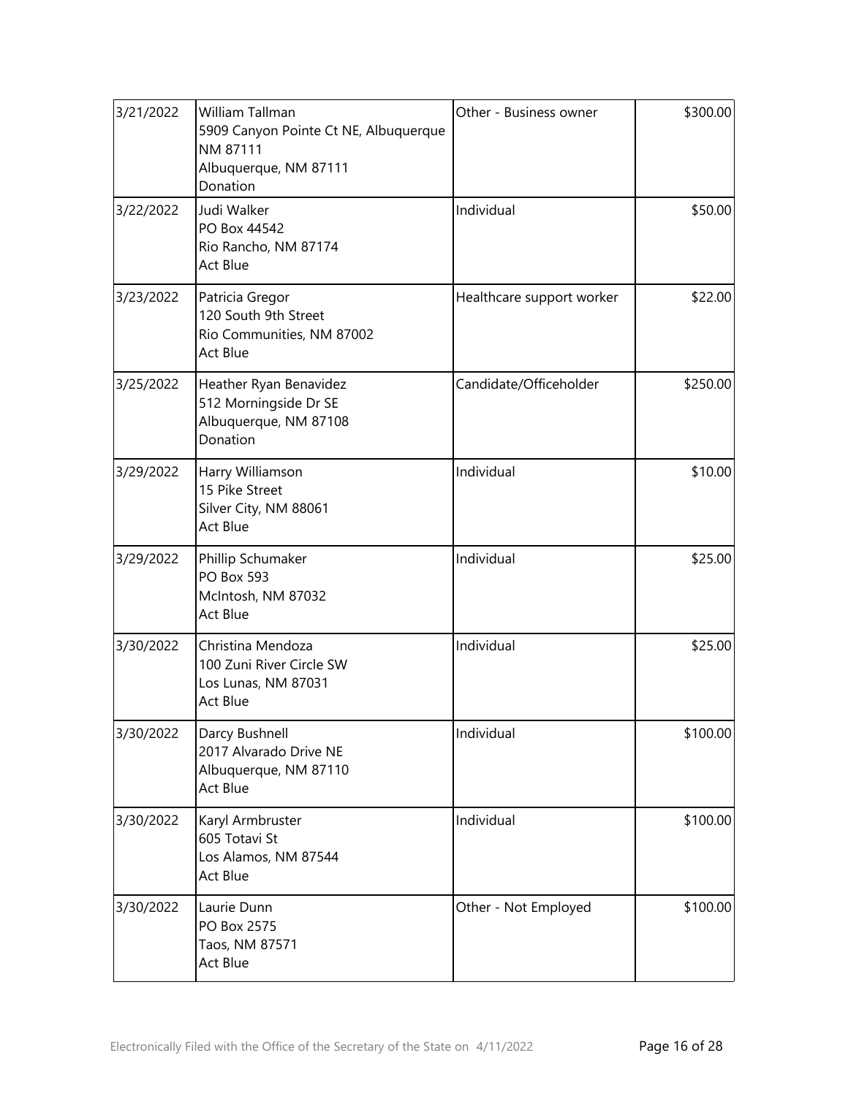| 3/21/2022 | William Tallman<br>5909 Canyon Pointe Ct NE, Albuquerque<br>NM 87111<br>Albuquerque, NM 87111<br>Donation | Other - Business owner    | \$300.00 |  |
|-----------|-----------------------------------------------------------------------------------------------------------|---------------------------|----------|--|
| 3/22/2022 | Judi Walker<br>PO Box 44542<br>Rio Rancho, NM 87174<br>Act Blue                                           | Individual                | \$50.00  |  |
| 3/23/2022 | Patricia Gregor<br>120 South 9th Street<br>Rio Communities, NM 87002<br><b>Act Blue</b>                   | Healthcare support worker |          |  |
| 3/25/2022 | Heather Ryan Benavidez<br>512 Morningside Dr SE<br>Albuquerque, NM 87108<br>Donation                      | Candidate/Officeholder    | \$250.00 |  |
| 3/29/2022 | Harry Williamson<br>15 Pike Street<br>Silver City, NM 88061<br>Act Blue                                   | Individual                | \$10.00  |  |
| 3/29/2022 | Phillip Schumaker<br><b>PO Box 593</b><br>McIntosh, NM 87032<br>Act Blue                                  | Individual                | \$25.00  |  |
| 3/30/2022 | Christina Mendoza<br>100 Zuni River Circle SW<br>Los Lunas, NM 87031<br><b>Act Blue</b>                   | Individual<br>\$25.00     |          |  |
| 3/30/2022 | Darcy Bushnell<br>2017 Alvarado Drive NE<br>Albuquerque, NM 87110<br>Act Blue                             | Individual<br>\$100.00    |          |  |
| 3/30/2022 | Karyl Armbruster<br>605 Totavi St<br>Los Alamos, NM 87544<br><b>Act Blue</b>                              | Individual                | \$100.00 |  |
| 3/30/2022 | Laurie Dunn<br>PO Box 2575<br>Taos, NM 87571<br>Act Blue                                                  | Other - Not Employed      | \$100.00 |  |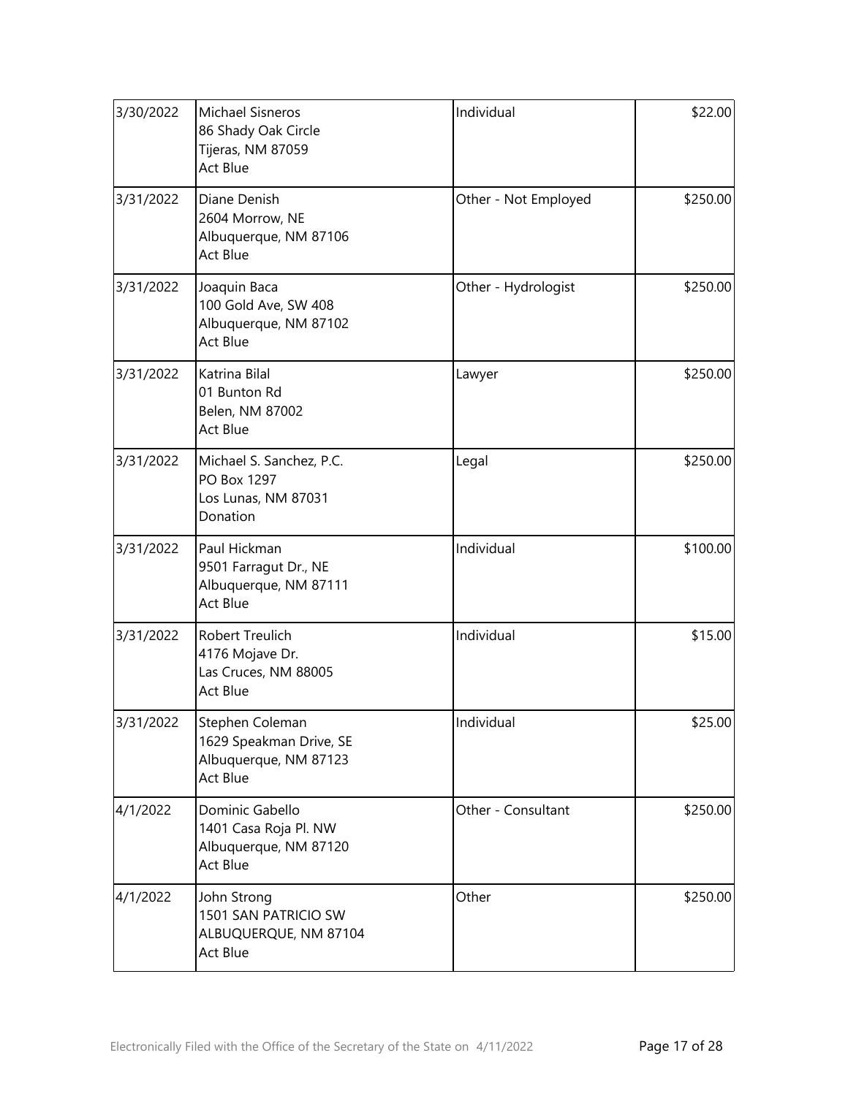| 3/30/2022 | Michael Sisneros<br>86 Shady Oak Circle<br>Tijeras, NM 87059<br>Act Blue        | Individual<br>\$22.00            |          |
|-----------|---------------------------------------------------------------------------------|----------------------------------|----------|
| 3/31/2022 | Diane Denish<br>2604 Morrow, NE<br>Albuquerque, NM 87106<br>Act Blue            | \$250.00<br>Other - Not Employed |          |
| 3/31/2022 | Joaquin Baca<br>100 Gold Ave, SW 408<br>Albuquerque, NM 87102<br>Act Blue       | \$250.00<br>Other - Hydrologist  |          |
| 3/31/2022 | Katrina Bilal<br>01 Bunton Rd<br>Belen, NM 87002<br>Act Blue                    | \$250.00<br>Lawyer               |          |
| 3/31/2022 | Michael S. Sanchez, P.C.<br>PO Box 1297<br>Los Lunas, NM 87031<br>Donation      | Legal                            |          |
| 3/31/2022 | Paul Hickman<br>9501 Farragut Dr., NE<br>Albuquerque, NM 87111<br>Act Blue      | Individual                       |          |
| 3/31/2022 | Robert Treulich<br>4176 Mojave Dr.<br>Las Cruces, NM 88005<br>Act Blue          | Individual<br>\$15.00            |          |
| 3/31/2022 | Stephen Coleman<br>1629 Speakman Drive, SE<br>Albuquerque, NM 87123<br>Act Blue | Individual<br>\$25.00            |          |
| 4/1/2022  | Dominic Gabello<br>1401 Casa Roja Pl. NW<br>Albuquerque, NM 87120<br>Act Blue   | Other - Consultant               | \$250.00 |
| 4/1/2022  | John Strong<br>1501 SAN PATRICIO SW<br>ALBUQUERQUE, NM 87104<br><b>Act Blue</b> | Other                            | \$250.00 |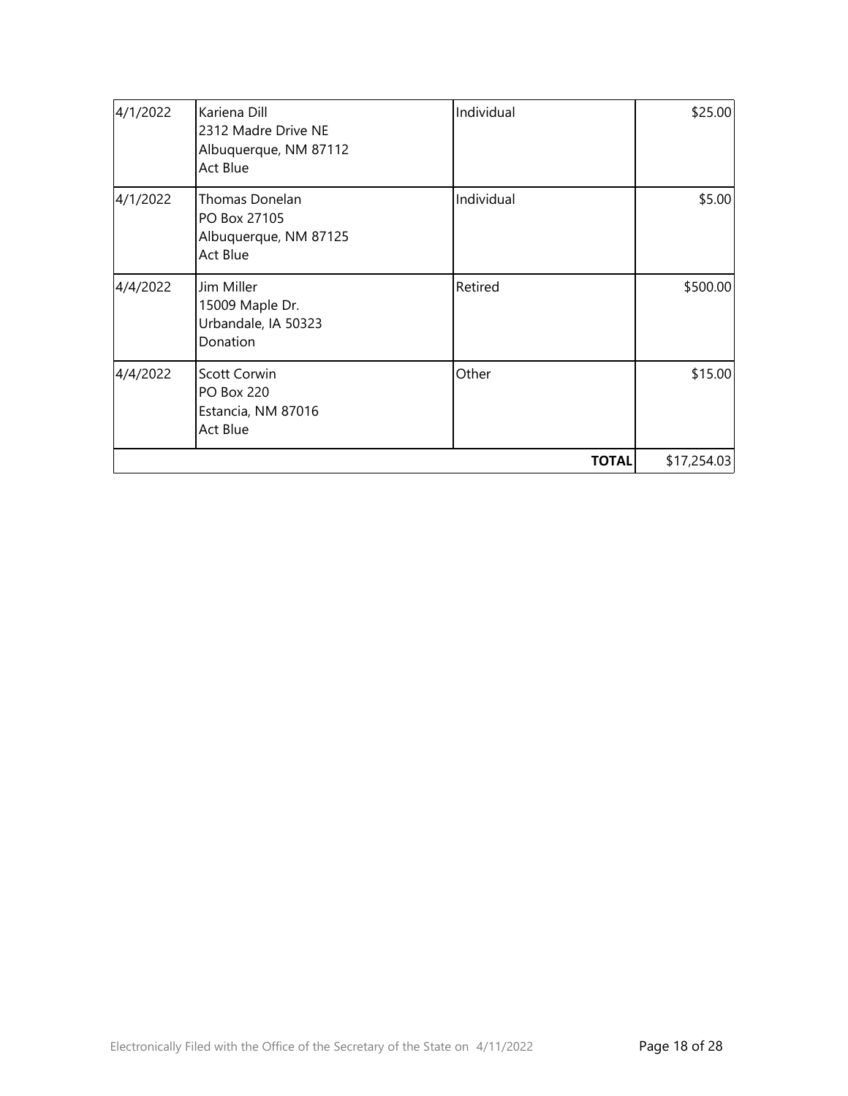| 4/1/2022 | Kariena Dill<br>2312 Madre Drive NE<br>Albuquerque, NM 87112<br><b>Act Blue</b>   | Individual   | \$25.00     |
|----------|-----------------------------------------------------------------------------------|--------------|-------------|
| 4/1/2022 | Thomas Donelan<br>PO Box 27105<br>Albuquerque, NM 87125<br><b>Act Blue</b>        | Individual   | \$5.00      |
| 4/4/2022 | Jim Miller<br>15009 Maple Dr.<br>Urbandale, IA 50323<br>Donation                  | Retired      | \$500.00    |
| 4/4/2022 | <b>Scott Corwin</b><br><b>PO Box 220</b><br>Estancia, NM 87016<br><b>Act Blue</b> | Other        | \$15.00     |
|          |                                                                                   | <b>TOTAL</b> | \$17,254.03 |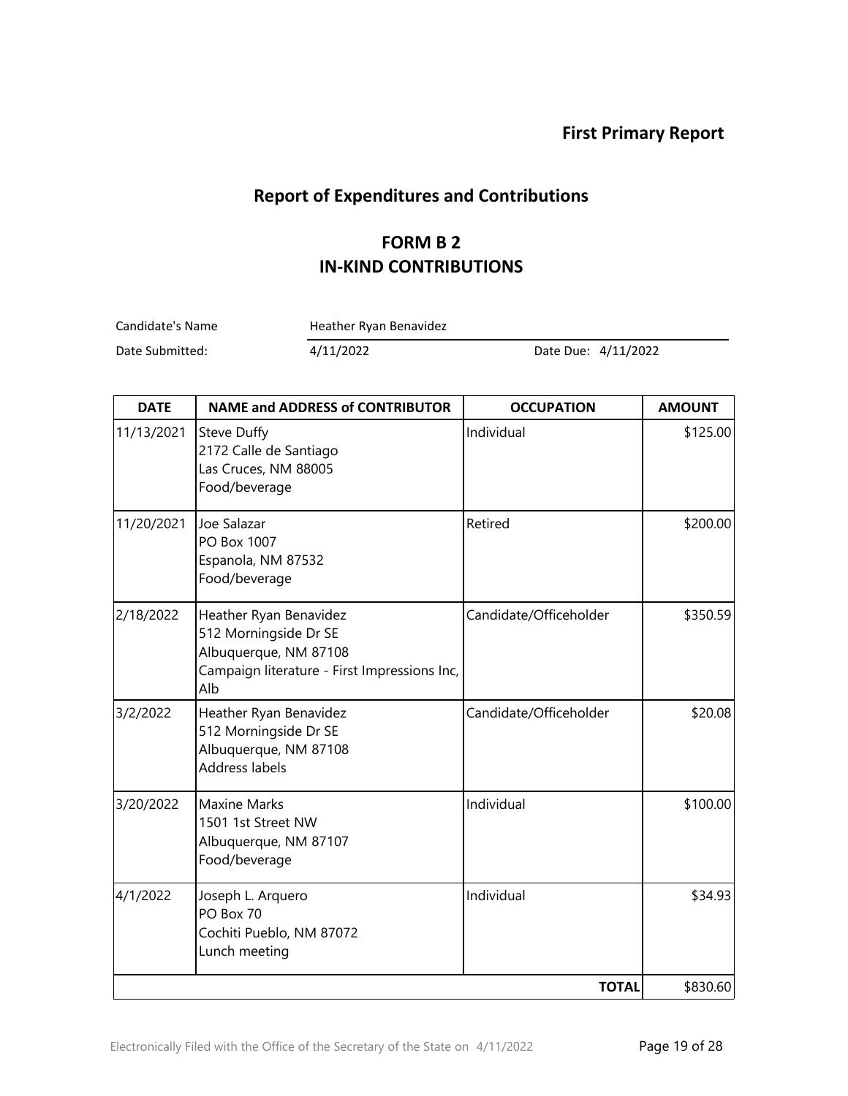### **Report of Expenditures and Contributions**

#### **FORM B 2 IN-KIND CONTRIBUTIONS**

Candidate's Name Heather Ryan Benavidez

Date Submitted: 4/11/2022 Date Due: 4/11/2022

| <b>DATE</b> | <b>NAME and ADDRESS of CONTRIBUTOR</b>                                                                                          | <b>OCCUPATION</b>      | <b>AMOUNT</b> |
|-------------|---------------------------------------------------------------------------------------------------------------------------------|------------------------|---------------|
| 11/13/2021  | <b>Steve Duffy</b><br>2172 Calle de Santiago<br>Las Cruces, NM 88005<br>Food/beverage                                           | Individual             | \$125.00      |
| 11/20/2021  | Joe Salazar<br>PO Box 1007<br>Espanola, NM 87532<br>Food/beverage                                                               | Retired                | \$200.00      |
| 2/18/2022   | Heather Ryan Benavidez<br>512 Morningside Dr SE<br>Albuquerque, NM 87108<br>Campaign literature - First Impressions Inc,<br>Alb | Candidate/Officeholder | \$350.59      |
| 3/2/2022    | Heather Ryan Benavidez<br>512 Morningside Dr SE<br>Albuquerque, NM 87108<br>Address labels                                      | Candidate/Officeholder | \$20.08       |
| 3/20/2022   | <b>Maxine Marks</b><br>1501 1st Street NW<br>Albuquerque, NM 87107<br>Food/beverage                                             | Individual             | \$100.00      |
| 4/1/2022    | Joseph L. Arquero<br>PO Box 70<br>Cochiti Pueblo, NM 87072<br>Lunch meeting                                                     | Individual             | \$34.93       |
|             |                                                                                                                                 | <b>TOTAL</b>           | \$830.60      |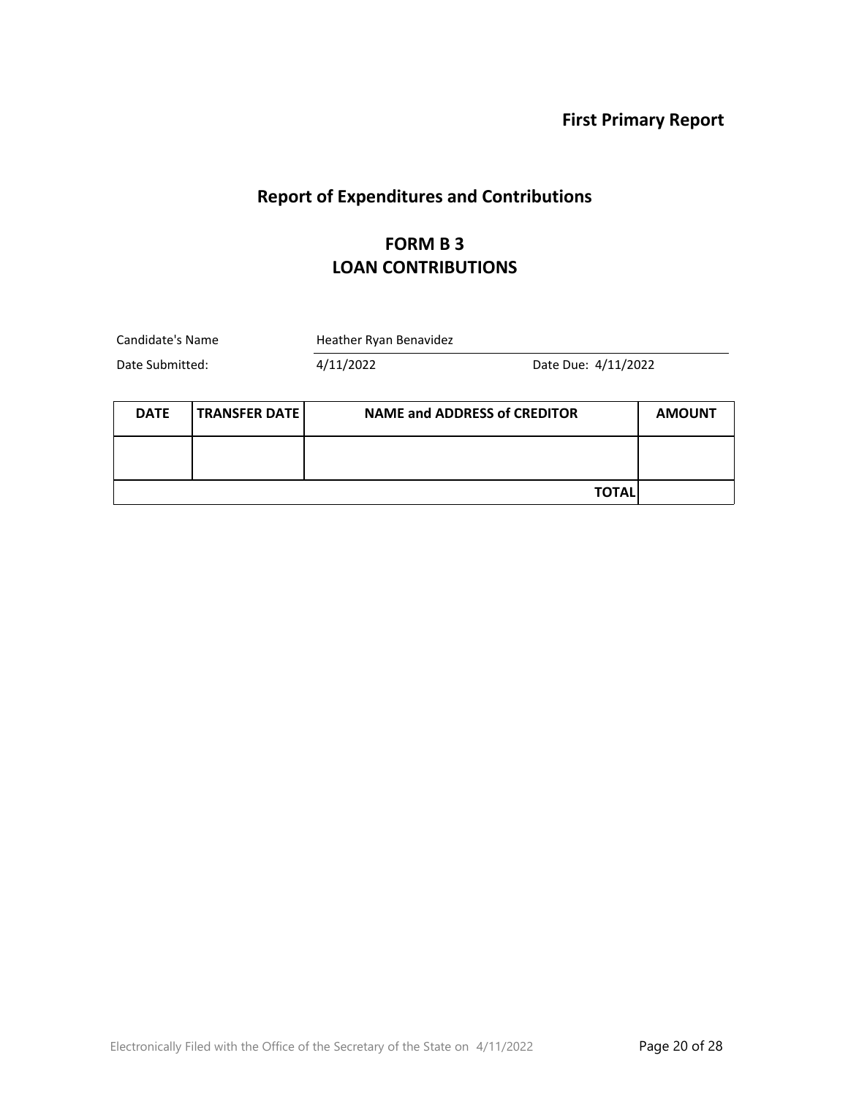# **Report of Expenditures and Contributions**

#### **FORM B 3 LOAN CONTRIBUTIONS**

| Candidate's Name |                      | Heather Ryan Benavidez              |                     |               |
|------------------|----------------------|-------------------------------------|---------------------|---------------|
| Date Submitted:  |                      | 4/11/2022                           | Date Due: 4/11/2022 |               |
| <b>DATE</b>      | <b>TRANSFER DATE</b> | <b>NAME and ADDRESS of CREDITOR</b> |                     | <b>AMOUNT</b> |
|                  |                      |                                     |                     |               |
|                  |                      |                                     | TOTAL               |               |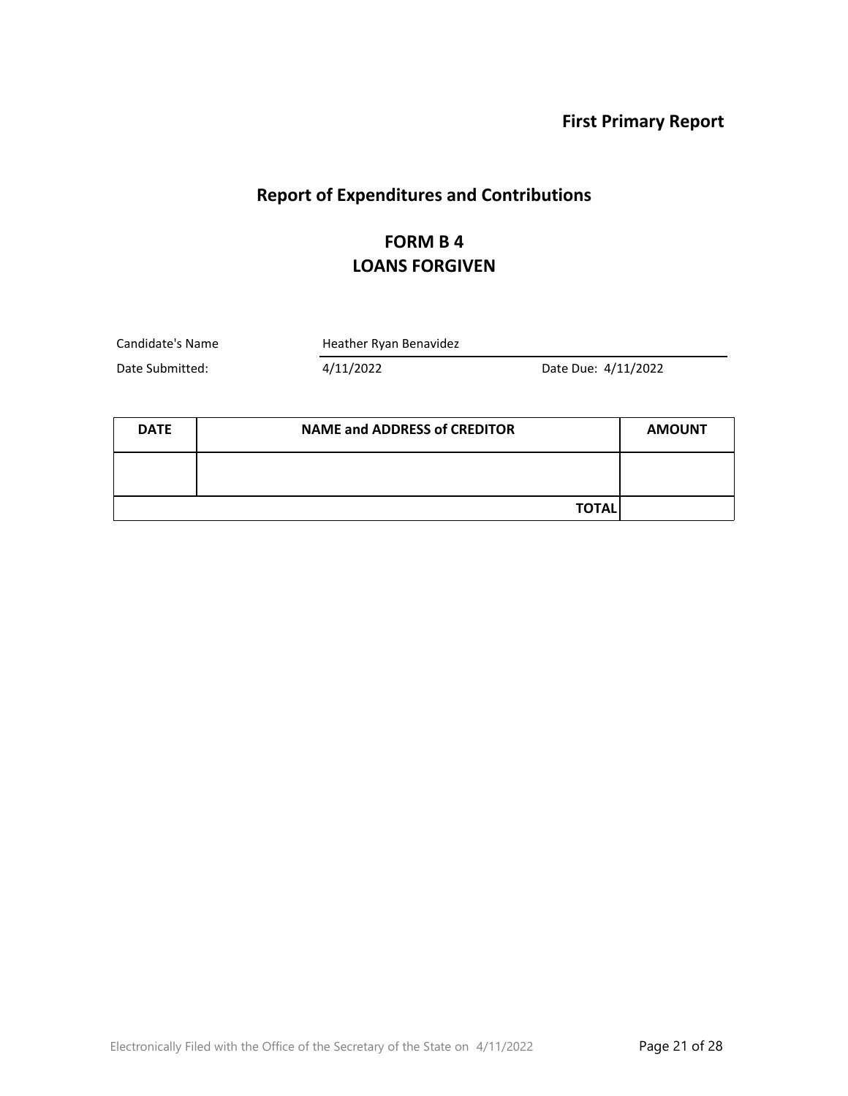### **Report of Expenditures and Contributions**

### **FORM B 4 LOANS FORGIVEN**

Candidate's Name Heather Ryan Benavidez

Date Submitted: 4/11/2022 Date Due: 4/11/2022

| <b>DATE</b> | <b>NAME and ADDRESS of CREDITOR</b> |  |
|-------------|-------------------------------------|--|
|             |                                     |  |
|             | <b>TOTAL</b>                        |  |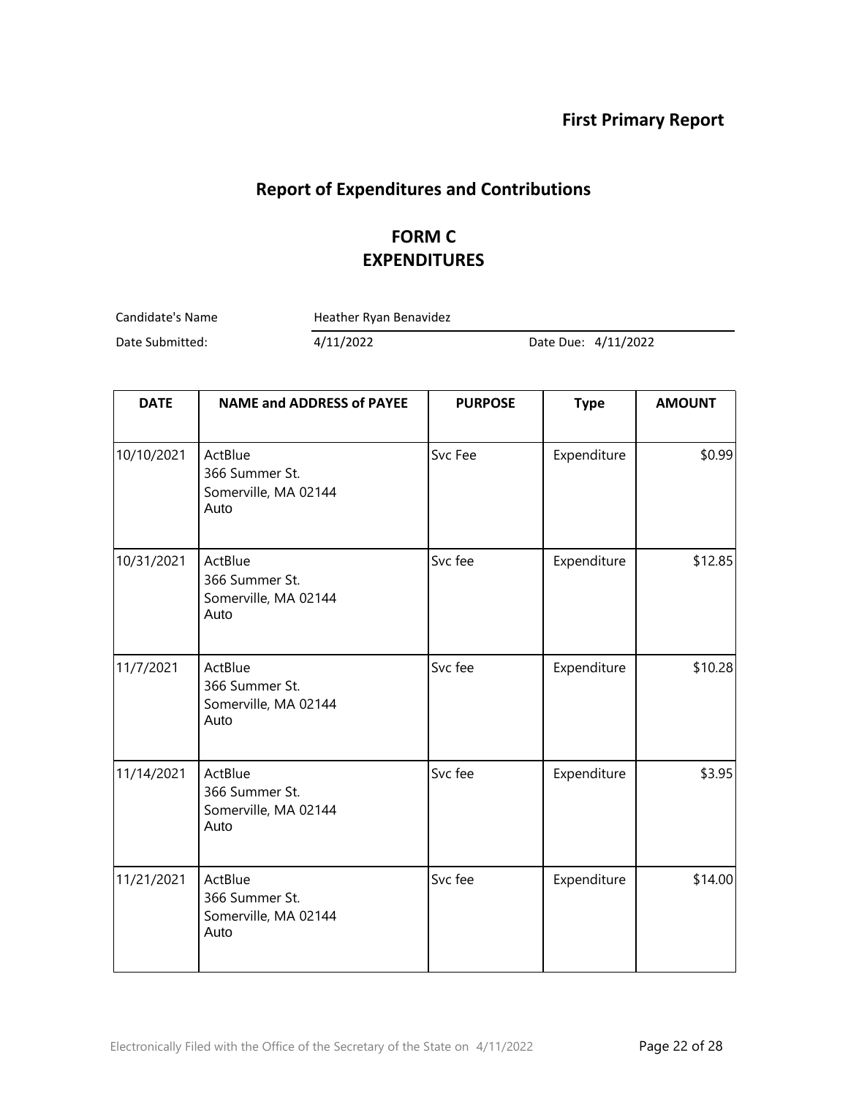### **Report of Expenditures and Contributions**

### **FORM C EXPENDITURES**

Candidate's Name Heather Ryan Benavidez

Date Submitted: 4/11/2022 Date Due: 4/11/2022

| <b>DATE</b> | <b>NAME and ADDRESS of PAYEE</b>                          | <b>PURPOSE</b> | <b>Type</b> | <b>AMOUNT</b> |
|-------------|-----------------------------------------------------------|----------------|-------------|---------------|
| 10/10/2021  | ActBlue<br>366 Summer St.<br>Somerville, MA 02144<br>Auto | Svc Fee        | Expenditure | \$0.99        |
| 10/31/2021  | ActBlue<br>366 Summer St.<br>Somerville, MA 02144<br>Auto | Svc fee        | Expenditure | \$12.85       |
| 11/7/2021   | ActBlue<br>366 Summer St.<br>Somerville, MA 02144<br>Auto | Svc fee        | Expenditure | \$10.28]      |
| 11/14/2021  | ActBlue<br>366 Summer St.<br>Somerville, MA 02144<br>Auto | Svc fee        | Expenditure | \$3.95        |
| 11/21/2021  | ActBlue<br>366 Summer St.<br>Somerville, MA 02144<br>Auto | Svc fee        | Expenditure | \$14.00       |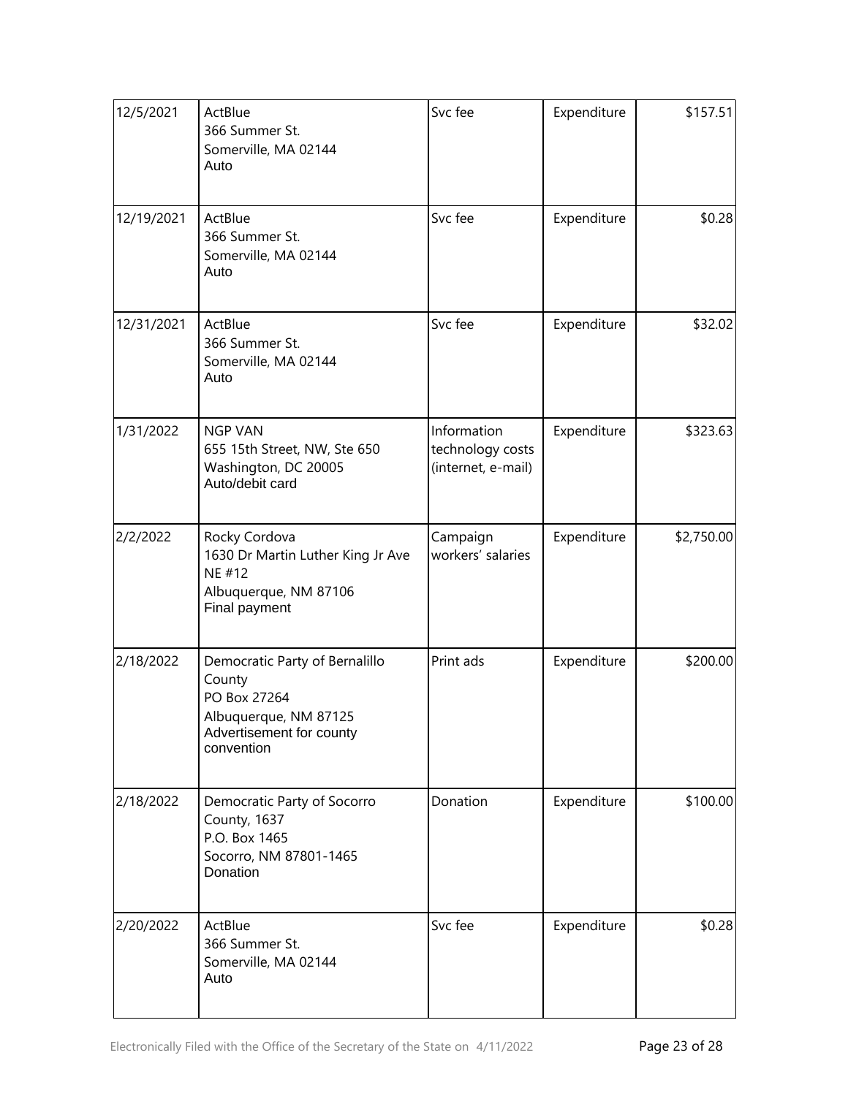| 12/5/2021  | ActBlue<br>366 Summer St.<br>Somerville, MA 02144<br>Auto                                                                   | Svc fee                                               | Expenditure | \$157.51   |
|------------|-----------------------------------------------------------------------------------------------------------------------------|-------------------------------------------------------|-------------|------------|
| 12/19/2021 | ActBlue<br>366 Summer St.<br>Somerville, MA 02144<br>Auto                                                                   | Svc fee                                               | Expenditure | \$0.28     |
| 12/31/2021 | ActBlue<br>366 Summer St.<br>Somerville, MA 02144<br>Auto                                                                   | Svc fee                                               | Expenditure | \$32.02    |
| 1/31/2022  | <b>NGP VAN</b><br>655 15th Street, NW, Ste 650<br>Washington, DC 20005<br>Auto/debit card                                   | Information<br>technology costs<br>(internet, e-mail) | Expenditure | \$323.63   |
| 2/2/2022   | Rocky Cordova<br>1630 Dr Martin Luther King Jr Ave<br>NE #12<br>Albuquerque, NM 87106<br>Final payment                      | Campaign<br>workers' salaries                         | Expenditure | \$2,750.00 |
| 2/18/2022  | Democratic Party of Bernalillo<br>County<br>PO Box 27264<br>Albuquerque, NM 87125<br>Advertisement for county<br>convention | Print ads                                             | Expenditure | \$200.00   |
| 2/18/2022  | Democratic Party of Socorro<br>County, 1637<br>P.O. Box 1465<br>Socorro, NM 87801-1465<br>Donation                          | Donation                                              | Expenditure | \$100.00   |
| 2/20/2022  | ActBlue<br>366 Summer St.<br>Somerville, MA 02144<br>Auto                                                                   | Svc fee                                               | Expenditure | \$0.28     |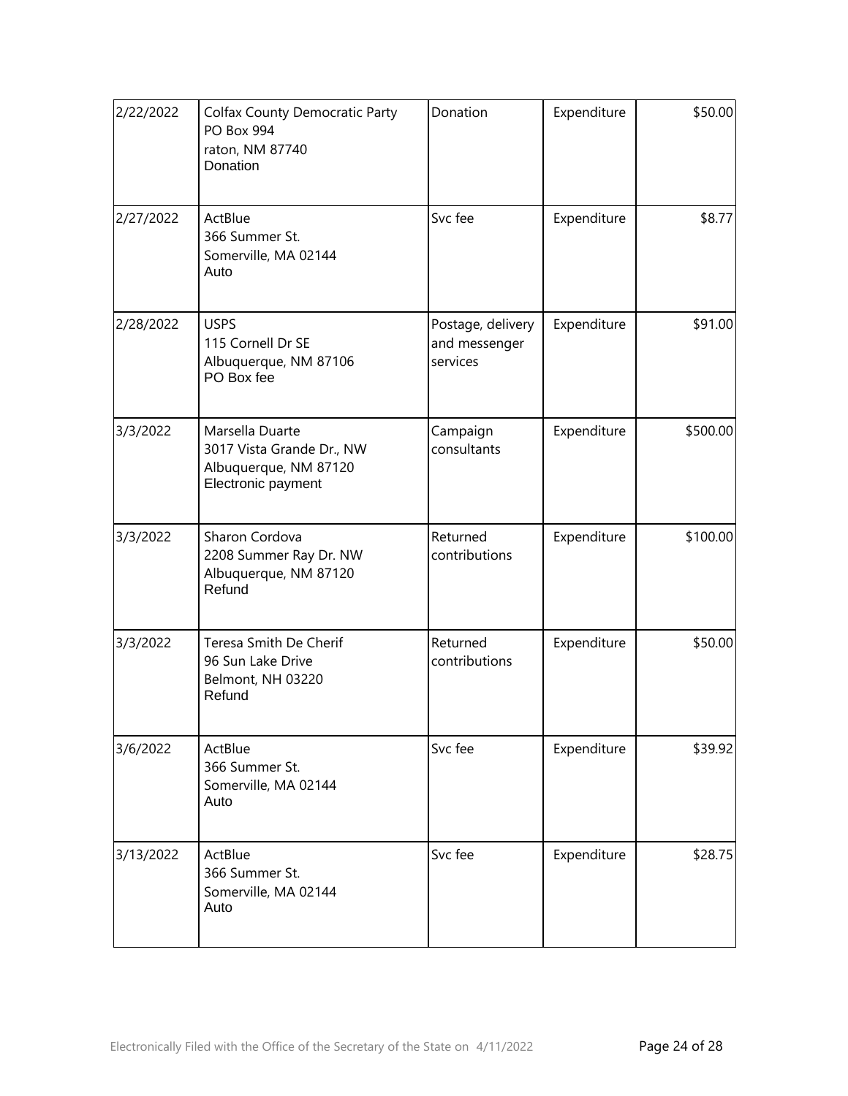| 2/22/2022 | <b>Colfax County Democratic Party</b><br>PO Box 994<br>raton, NM 87740<br>Donation          | Donation                                       | Expenditure | \$50.00  |
|-----------|---------------------------------------------------------------------------------------------|------------------------------------------------|-------------|----------|
| 2/27/2022 | ActBlue<br>366 Summer St.<br>Somerville, MA 02144<br>Auto                                   | Svc fee                                        | Expenditure | \$8.77   |
| 2/28/2022 | <b>USPS</b><br>115 Cornell Dr SE<br>Albuquerque, NM 87106<br>PO Box fee                     | Postage, delivery<br>and messenger<br>services | Expenditure | \$91.00  |
| 3/3/2022  | Marsella Duarte<br>3017 Vista Grande Dr., NW<br>Albuquerque, NM 87120<br>Electronic payment | Campaign<br>consultants                        | Expenditure | \$500.00 |
| 3/3/2022  | Sharon Cordova<br>2208 Summer Ray Dr. NW<br>Albuquerque, NM 87120<br>Refund                 | Returned<br>contributions                      | Expenditure | \$100.00 |
| 3/3/2022  | Teresa Smith De Cherif<br>96 Sun Lake Drive<br>Belmont, NH 03220<br>Refund                  | Returned<br>contributions                      | Expenditure | \$50.00  |
| 3/6/2022  | ActBlue<br>366 Summer St.<br>Somerville, MA 02144<br>Auto                                   | Svc fee                                        | Expenditure | \$39.92  |
| 3/13/2022 | ActBlue<br>366 Summer St.<br>Somerville, MA 02144<br>Auto                                   | Svc fee                                        | Expenditure | \$28.75  |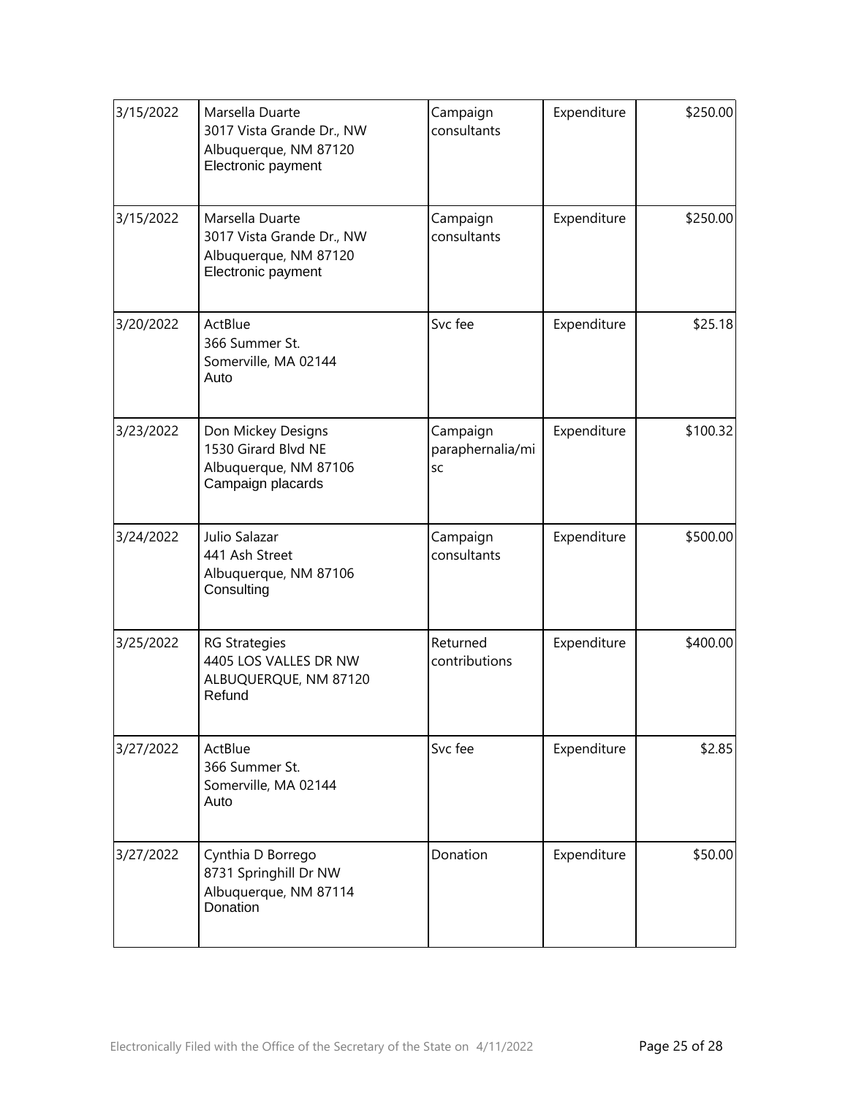| 3/15/2022 | Marsella Duarte<br>3017 Vista Grande Dr., NW<br>Albuquerque, NM 87120<br>Electronic payment | Campaign<br>consultants            | Expenditure | \$250.00 |
|-----------|---------------------------------------------------------------------------------------------|------------------------------------|-------------|----------|
| 3/15/2022 | Marsella Duarte<br>3017 Vista Grande Dr., NW<br>Albuquerque, NM 87120<br>Electronic payment | Campaign<br>consultants            | Expenditure | \$250.00 |
| 3/20/2022 | ActBlue<br>366 Summer St.<br>Somerville, MA 02144<br>Auto                                   | Svc fee                            | Expenditure | \$25.18  |
| 3/23/2022 | Don Mickey Designs<br>1530 Girard Blvd NE<br>Albuquerque, NM 87106<br>Campaign placards     | Campaign<br>paraphernalia/mi<br>SC | Expenditure | \$100.32 |
| 3/24/2022 | Julio Salazar<br>441 Ash Street<br>Albuquerque, NM 87106<br>Consulting                      | Campaign<br>consultants            | Expenditure | \$500.00 |
| 3/25/2022 | <b>RG Strategies</b><br>4405 LOS VALLES DR NW<br>ALBUQUERQUE, NM 87120<br>Refund            | Returned<br>contributions          | Expenditure | \$400.00 |
| 3/27/2022 | ActBlue<br>366 Summer St.<br>Somerville, MA 02144<br>Auto                                   | Svc fee                            | Expenditure | \$2.85   |
| 3/27/2022 | Cynthia D Borrego<br>8731 Springhill Dr NW<br>Albuquerque, NM 87114<br>Donation             | Donation                           | Expenditure | \$50.00  |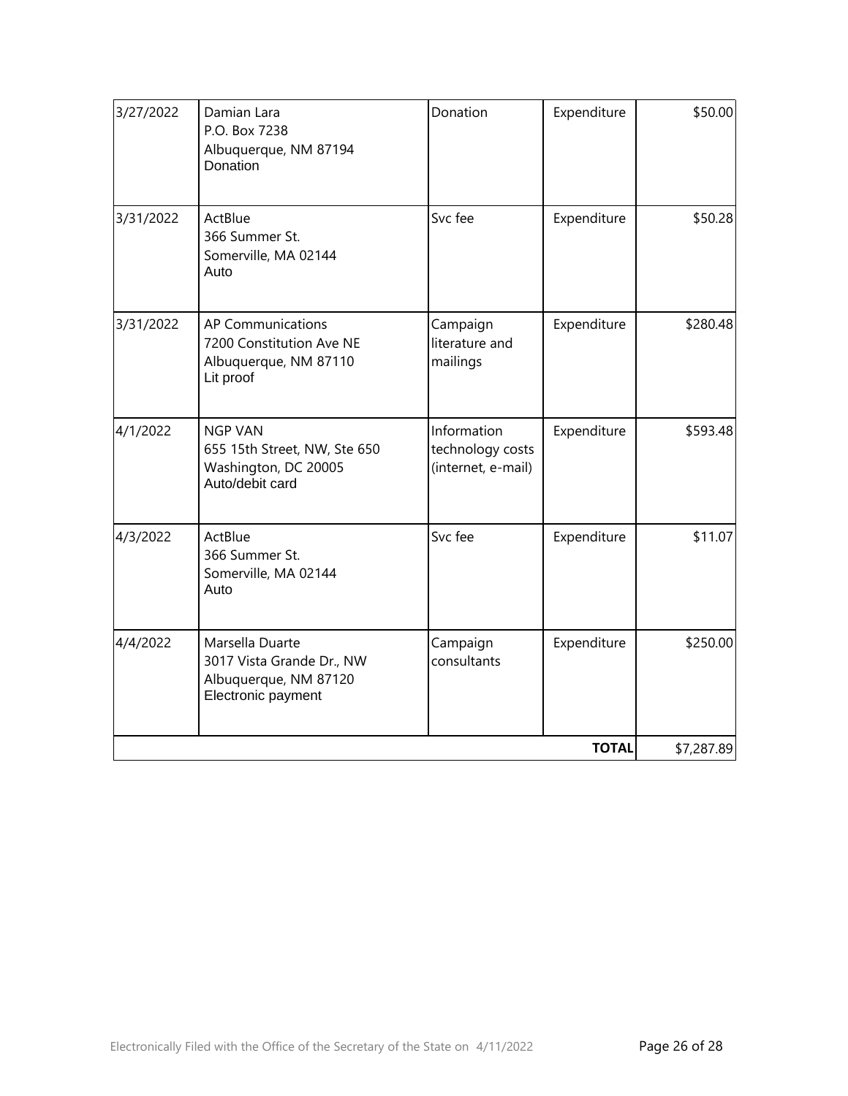|           |                                                                                             |                                                       | <b>TOTAL</b> | \$7,287.89 |
|-----------|---------------------------------------------------------------------------------------------|-------------------------------------------------------|--------------|------------|
| 4/4/2022  | Marsella Duarte<br>3017 Vista Grande Dr., NW<br>Albuquerque, NM 87120<br>Electronic payment | Campaign<br>consultants                               | Expenditure  | \$250.00   |
| 4/3/2022  | ActBlue<br>366 Summer St.<br>Somerville, MA 02144<br>Auto                                   | Svc fee                                               | Expenditure  | \$11.07    |
| 4/1/2022  | <b>NGP VAN</b><br>655 15th Street, NW, Ste 650<br>Washington, DC 20005<br>Auto/debit card   | Information<br>technology costs<br>(internet, e-mail) | Expenditure  | \$593.48   |
| 3/31/2022 | <b>AP Communications</b><br>7200 Constitution Ave NE<br>Albuquerque, NM 87110<br>Lit proof  | Campaign<br>literature and<br>mailings                | Expenditure  | \$280.48   |
| 3/31/2022 | ActBlue<br>366 Summer St.<br>Somerville, MA 02144<br>Auto                                   | Svc fee                                               | Expenditure  | \$50.28    |
| 3/27/2022 | Damian Lara<br>P.O. Box 7238<br>Albuquerque, NM 87194<br>Donation                           | Donation                                              | Expenditure  | \$50.00    |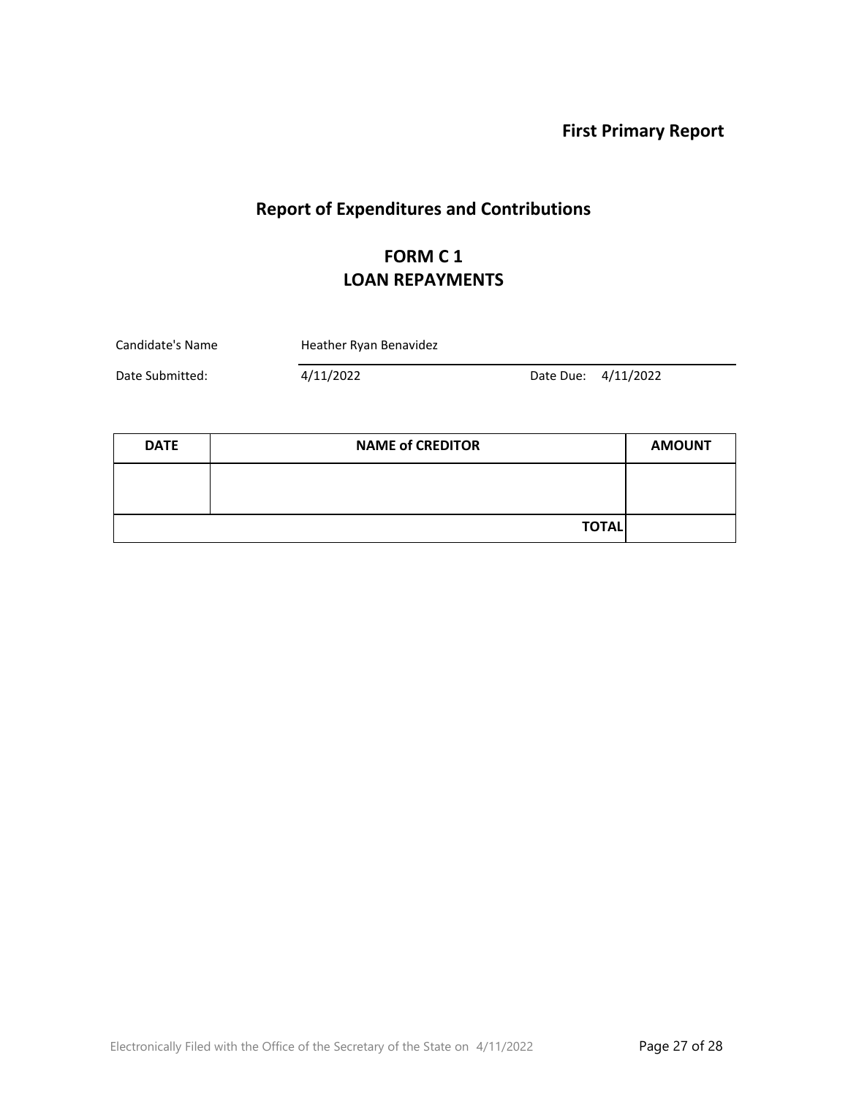# **Report of Expenditures and Contributions**

### **FORM C 1 LOAN REPAYMENTS**

| Candidate's Name | Heather Ryan Benavidez |                     |  |
|------------------|------------------------|---------------------|--|
| Date Submitted:  | 4/11/2022              | Date Due: 4/11/2022 |  |

| <b>DATE</b> | <b>NAME of CREDITOR</b> | <b>AMOUNT</b> |
|-------------|-------------------------|---------------|
|             |                         |               |
|             |                         |               |
|             | <b>TOTAL</b>            |               |